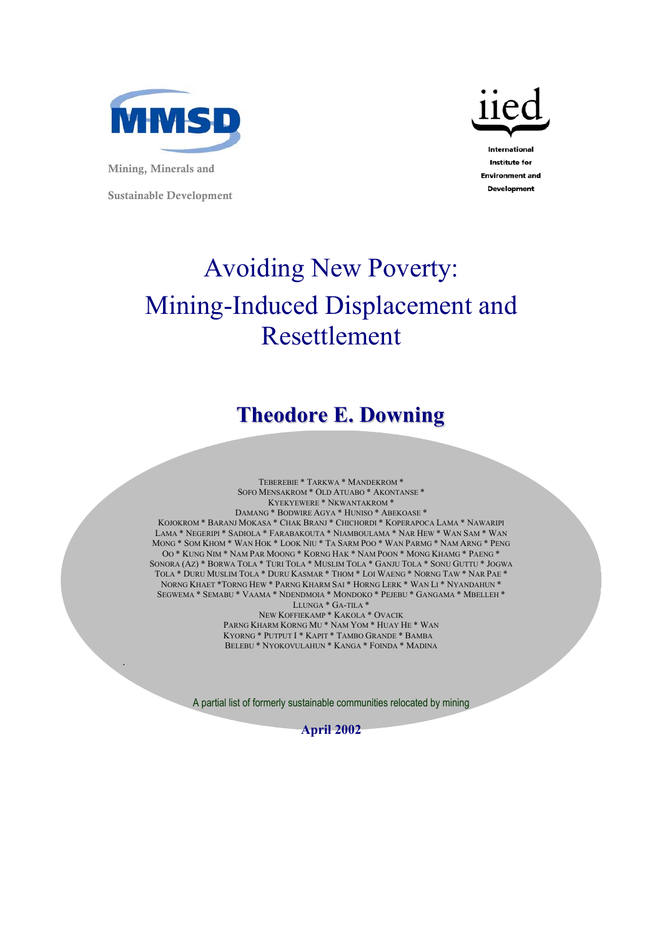

Mining, Minerals and

.

Sustainable Development



**Institute for Environment and Development** 

# Avoiding New Poverty: Mining-Induced Displacement and Resettlement

## **Theodore E. Downing**

TEBEREBIE \* TARKWA \* MANDEKROM \* SOFO MENSAKROM \* OLD ATUABO \* AKONTANSE \* KYEKYEWERE \* NKWANTAKROM \* DAMANG \* BODWIRE AGYA \* HUNISO \* ABEKOASE \* KOJOKROM \* BARANJ MOKASA \* CHAK BRANJ \* CHICHORDI \* KOPERAPOCA LAMA \* NAWARIPI LAMA \* NEGERIPI \* SADIOLA \* FARABAKOUTA \* NIAMBOULAMA \* NAR HEW \* WAN SAM \* WAN MONG \* SOM KHOM \* WAN HOK \* LOOK NIU \* TA SARM POO \* WAN PARMG \* NAM ARNG \* PENG OO \* KUNG NIM \* NAM PAR MOONG \* KORNG HAK \* NAM POON \* MONG KHAMG \* PAENG \* SONORA (AZ) \* BORWA TOLA \* TURI TOLA \* MUSLIM TOLA \* GANJU TOLA \* SONU GUTTU \* JOGWA TOLA \* DURU MUSLIM TOLA \* DURU KASMAR \* THOM \* LOI WAENG \* NORNG TAW \* NAR PAE \* NORNG KHAET \*TORNG HEW \* PARNG KHARM SAI \* HORNG LERK \* WAN LI \* NYANDAHUN \* SEGWEMA \* SEMABU \* VAAMA \* NDENDMOIA \* MONDOKO \* PEJEBU \* GANGAMA \* MBELLEH \* LLUNGA \* GA-TILA \* NEW KOFFIEKAMP \* KAKOLA \* OVACIK PARNG KHARM KORNG MU \* NAM YOM \* HUAY HE \* WAN KYORNG \* PUTPUT I \* KAPIT \* TAMBO GRANDE \* BAMBA BELEBU \* NYOKOVULAHUN \* KANGA \* FOINDA \* MADINA

A partial list of formerly sustainable communities relocated by mining

**April 2002**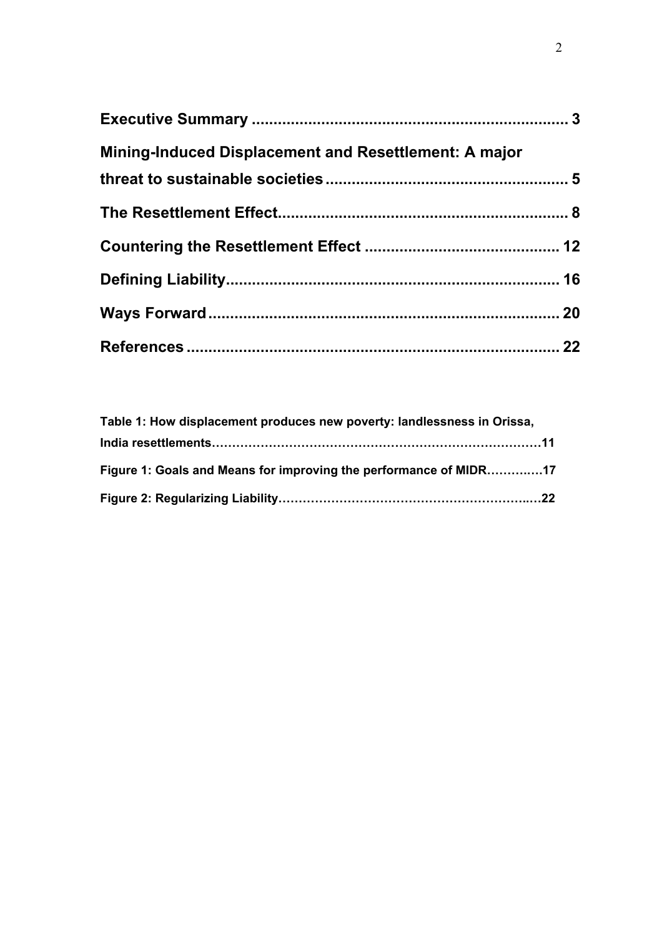| <b>Mining-Induced Displacement and Resettlement: A major</b> |  |
|--------------------------------------------------------------|--|
|                                                              |  |
|                                                              |  |
|                                                              |  |
|                                                              |  |
|                                                              |  |
|                                                              |  |

| Table 1: How displacement produces new poverty: landlessness in Orissa, |  |
|-------------------------------------------------------------------------|--|
|                                                                         |  |
| Figure 1: Goals and Means for improving the performance of MIDR17       |  |
|                                                                         |  |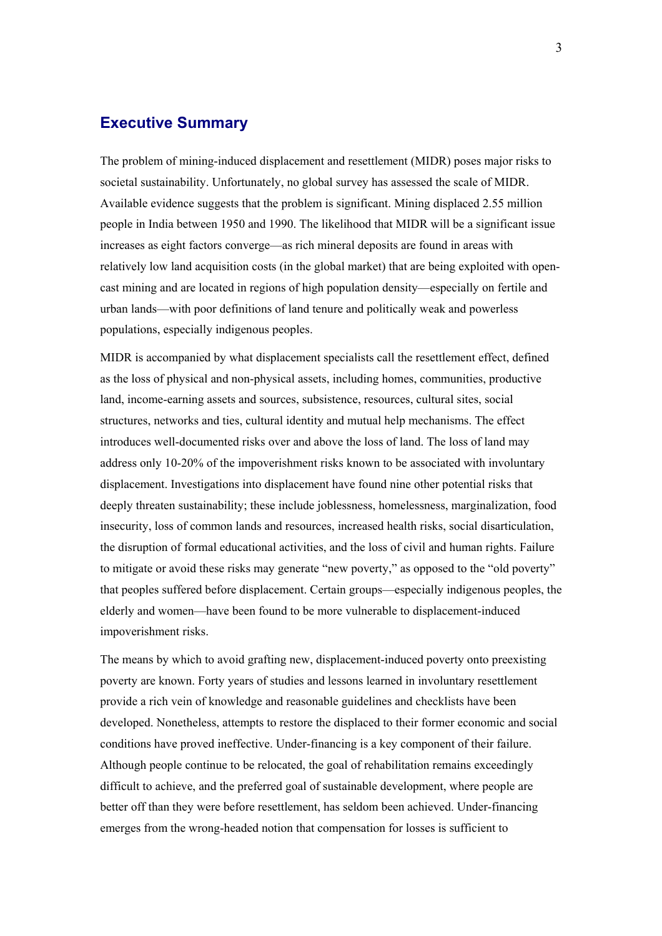#### <span id="page-2-0"></span>**Executive Summary**

The problem of mining-induced displacement and resettlement (MIDR) poses major risks to societal sustainability. Unfortunately, no global survey has assessed the scale of MIDR. Available evidence suggests that the problem is significant. Mining displaced 2.55 million people in India between 1950 and 1990. The likelihood that MIDR will be a significant issue increases as eight factors converge—as rich mineral deposits are found in areas with relatively low land acquisition costs (in the global market) that are being exploited with opencast mining and are located in regions of high population density—especially on fertile and urban lands—with poor definitions of land tenure and politically weak and powerless populations, especially indigenous peoples.

MIDR is accompanied by what displacement specialists call the resettlement effect, defined as the loss of physical and non-physical assets, including homes, communities, productive land, income-earning assets and sources, subsistence, resources, cultural sites, social structures, networks and ties, cultural identity and mutual help mechanisms. The effect introduces well-documented risks over and above the loss of land. The loss of land may address only 10-20% of the impoverishment risks known to be associated with involuntary displacement. Investigations into displacement have found nine other potential risks that deeply threaten sustainability; these include joblessness, homelessness, marginalization, food insecurity, loss of common lands and resources, increased health risks, social disarticulation, the disruption of formal educational activities, and the loss of civil and human rights. Failure to mitigate or avoid these risks may generate "new poverty," as opposed to the "old poverty" that peoples suffered before displacement. Certain groups—especially indigenous peoples, the elderly and women—have been found to be more vulnerable to displacement-induced impoverishment risks.

The means by which to avoid grafting new, displacement-induced poverty onto preexisting poverty are known. Forty years of studies and lessons learned in involuntary resettlement provide a rich vein of knowledge and reasonable guidelines and checklists have been developed. Nonetheless, attempts to restore the displaced to their former economic and social conditions have proved ineffective. Under-financing is a key component of their failure. Although people continue to be relocated, the goal of rehabilitation remains exceedingly difficult to achieve, and the preferred goal of sustainable development, where people are better off than they were before resettlement, has seldom been achieved. Under-financing emerges from the wrong-headed notion that compensation for losses is sufficient to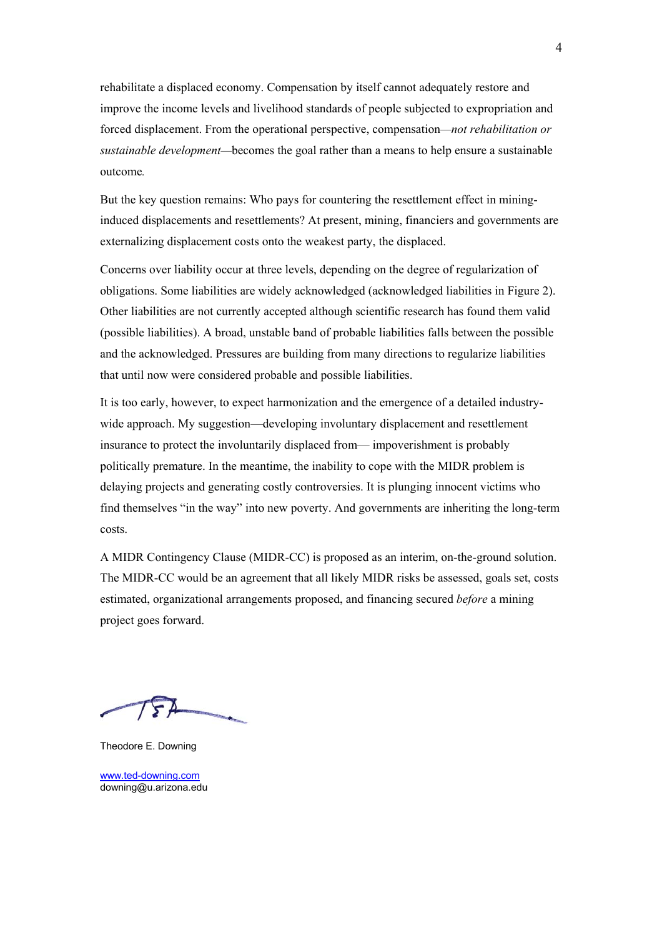rehabilitate a displaced economy. Compensation by itself cannot adequately restore and improve the income levels and livelihood standards of people subjected to expropriation and forced displacement. From the operational perspective, compensation*—not rehabilitation or sustainable development—*becomes the goal rather than a means to help ensure a sustainable outcome*.* 

But the key question remains: Who pays for countering the resettlement effect in mininginduced displacements and resettlements? At present, mining, financiers and governments are externalizing displacement costs onto the weakest party, the displaced.

Concerns over liability occur at three levels, depending on the degree of regularization of obligations. Some liabilities are widely acknowledged (acknowledged liabilities in Figure 2). Other liabilities are not currently accepted although scientific research has found them valid (possible liabilities). A broad, unstable band of probable liabilities falls between the possible and the acknowledged. Pressures are building from many directions to regularize liabilities that until now were considered probable and possible liabilities.

It is too early, however, to expect harmonization and the emergence of a detailed industrywide approach. My suggestion—developing involuntary displacement and resettlement insurance to protect the involuntarily displaced from— impoverishment is probably politically premature. In the meantime, the inability to cope with the MIDR problem is delaying projects and generating costly controversies. It is plunging innocent victims who find themselves "in the way" into new poverty. And governments are inheriting the long-term costs.

A MIDR Contingency Clause (MIDR-CC) is proposed as an interim, on-the-ground solution. The MIDR-CC would be an agreement that all likely MIDR risks be assessed, goals set, costs estimated, organizational arrangements proposed, and financing secured *before* a mining project goes forward.

Theodore E. Downing

[www.ted-downing.com](http://www.ted-downing.com/) downing@u.arizona.edu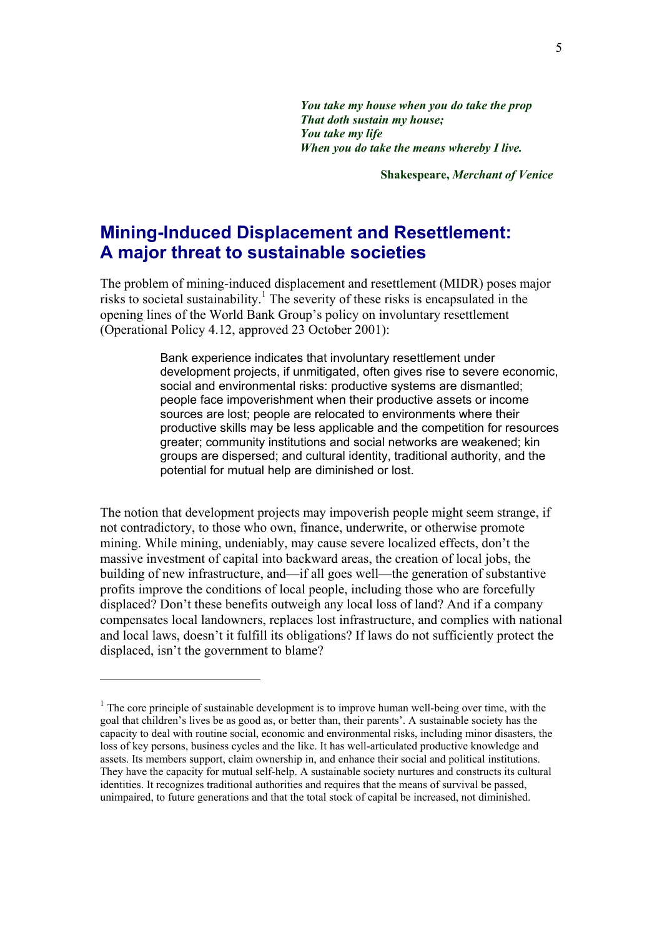*You take my house when you do take the prop That doth sustain my house; You take my life When you do take the means whereby I live.*

**Shakespeare,** *Merchant of Venice*

## <span id="page-4-0"></span>**Mining-Induced Displacement and Resettlement: A major threat to sustainable societies**

The problem of mining-induced displacement and resettlement (MIDR) poses major risks to societal sustainability.<sup>1</sup> The severity of these risks is encapsulated in the opening lines of the World Bank Group's policy on involuntary resettlement (Operational Policy 4.12, approved 23 October 2001):

> Bank experience indicates that involuntary resettlement under development projects, if unmitigated, often gives rise to severe economic, social and environmental risks: productive systems are dismantled; people face impoverishment when their productive assets or income sources are lost; people are relocated to environments where their productive skills may be less applicable and the competition for resources greater; community institutions and social networks are weakened; kin groups are dispersed; and cultural identity, traditional authority, and the potential for mutual help are diminished or lost.

The notion that development projects may impoverish people might seem strange, if not contradictory, to those who own, finance, underwrite, or otherwise promote mining. While mining, undeniably, may cause severe localized effects, don't the massive investment of capital into backward areas, the creation of local jobs, the building of new infrastructure, and—if all goes well—the generation of substantive profits improve the conditions of local people, including those who are forcefully displaced? Don't these benefits outweigh any local loss of land? And if a company compensates local landowners, replaces lost infrastructure, and complies with national and local laws, doesn't it fulfill its obligations? If laws do not sufficiently protect the displaced, isn't the government to blame?

<span id="page-4-1"></span> $1$ . The core principle of sustainable development is to improve human well-being over time, with the goal that children's lives be as good as, or better than, their parents'. A sustainable society has the capacity to deal with routine social, economic and environmental risks, including minor disasters, the loss of key persons, business cycles and the like. It has well-articulated productive knowledge and assets. Its members support, claim ownership in, and enhance their social and political institutions. They have the capacity for mutual self-help. A sustainable society nurtures and constructs its cultural identities. It recognizes traditional authorities and requires that the means of survival be passed, unimpaired, to future generations and that the total stock of capital be increased, not diminished.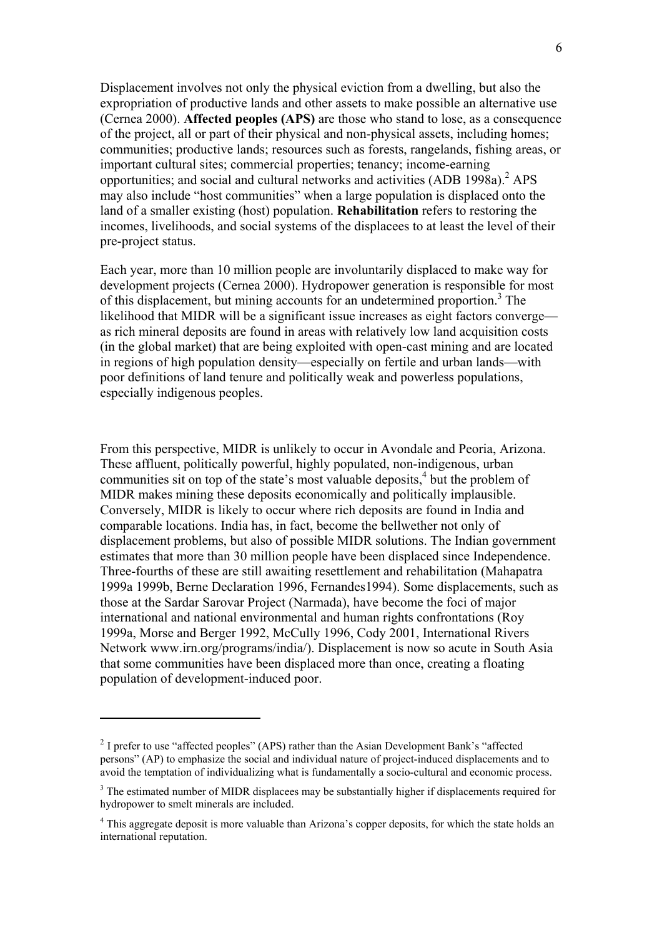Displacement involves not only the physical eviction from a dwelling, but also the expropriation of productive lands and other assets to make possible an alternative use (Cernea 2000). **Affected peoples (APS)** are those who stand to lose, as a consequence of the project, all or part of their physical and non-physical assets, including homes; communities; productive lands; resources such as forests, rangelands, fishing areas, or important cultural sites; commercial properties; tenancy; income-earning opportunities; and social and cultural networks and activities (ADB 1998a).<sup>2</sup> APS may also include "host communities" when a large population is displaced onto the land of a smaller existing (host) population. **Rehabilitation** refers to restoring the incomes, livelihoods, and social systems of the displacees to at least the level of their pre-project status.

Each year, more than 10 million people are involuntarily displaced to make way for development projects (Cernea 2000). Hydropower generation is responsible for most of this displacement, but mining accounts for an undetermined proportion.<sup>3</sup> The likelihood that MIDR will be a significant issue increases as eight factors converge as rich mineral deposits are found in areas with relatively low land acquisition costs (in the global market) that are being exploited with open-cast mining and are located in regions of high population density—especially on fertile and urban lands—with poor definitions of land tenure and politically weak and powerless populations, especially indigenous peoples.

From this perspective, MIDR is unlikely to occur in Avondale and Peoria, Arizona. These affluent, politically powerful, highly populated, non-indigenous, urban communities sit on top of the state's most valuable deposits, $4$  but the problem of MIDR makes mining these deposits economically and politically implausible. Conversely, MIDR is likely to occur where rich deposits are found in India and comparable locations. India has, in fact, become the bellwether not only of displacement problems, but also of possible MIDR solutions. The Indian government estimates that more than 30 million people have been displaced since Independence. Three-fourths of these are still awaiting resettlement and rehabilitation (Mahapatra 1999a 1999b, Berne Declaration 1996, Fernandes1994). Some displacements, such as those at the Sardar Sarovar Project (Narmada), have become the foci of major international and national environmental and human rights confrontations (Roy 1999a, Morse and Berger 1992, McCully 1996, Cody 2001, International Rivers Network www.irn.org/programs/india/). Displacement is now so acute in South Asia that some communities have been displaced more than once, creating a floating population of development-induced poor.

<span id="page-5-0"></span> $2$  I prefer to use "affected peoples" (APS) rather than the Asian Development Bank's "affected persons" (AP) to emphasize the social and individual nature of project-induced displacements and to avoid the temptation of individualizing what is fundamentally a socio-cultural and economic process.

<span id="page-5-1"></span> $3$  The estimated number of MIDR displacees may be substantially higher if displacements required for hydropower to smelt minerals are included.

<span id="page-5-2"></span><sup>&</sup>lt;sup>4</sup> This aggregate deposit is more valuable than Arizona's copper deposits, for which the state holds an international reputation.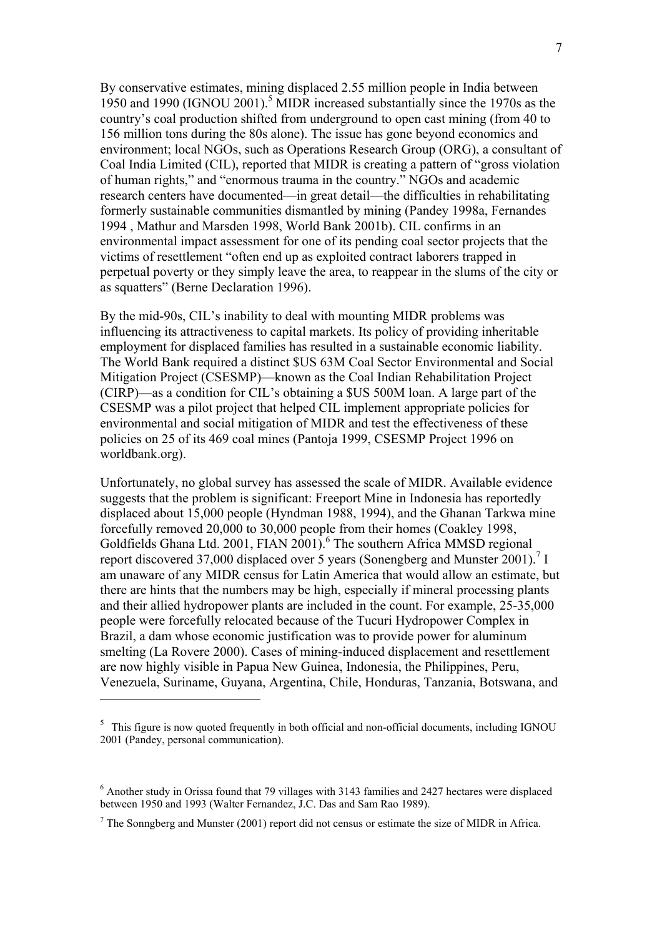By conservative estimates, mining displaced 2.55 million people in India between 19[5](#page-6-0)0 and 1990 (IGNOU 2001).<sup>5</sup> MIDR increased substantially since the 1970s as the country's coal production shifted from underground to open cast mining (from 40 to 156 million tons during the 80s alone). The issue has gone beyond economics and environment; local NGOs, such as Operations Research Group (ORG), a consultant of Coal India Limited (CIL), reported that MIDR is creating a pattern of "gross violation of human rights," and "enormous trauma in the country." NGOs and academic research centers have documented—in great detail—the difficulties in rehabilitating formerly sustainable communities dismantled by mining (Pandey 1998a, Fernandes 1994 , Mathur and Marsden 1998, World Bank 2001b). CIL confirms in an environmental impact assessment for one of its pending coal sector projects that the victims of resettlement "often end up as exploited contract laborers trapped in perpetual poverty or they simply leave the area, to reappear in the slums of the city or as squatters" (Berne Declaration 1996).

By the mid-90s, CIL's inability to deal with mounting MIDR problems was influencing its attractiveness to capital markets. Its policy of providing inheritable employment for displaced families has resulted in a sustainable economic liability. The World Bank required a distinct \$US 63M Coal Sector Environmental and Social Mitigation Project (CSESMP)—known as the Coal Indian Rehabilitation Project (CIRP)—as a condition for CIL's obtaining a \$US 500M loan. A large part of the CSESMP was a pilot project that helped CIL implement appropriate policies for environmental and social mitigation of MIDR and test the effectiveness of these policies on 25 of its 469 coal mines (Pantoja 1999, CSESMP Project 1996 on worldbank.org).

Unfortunately, no global survey has assessed the scale of MIDR. Available evidence suggests that the problem is significant: Freeport Mine in Indonesia has reportedly displaced about 15,000 people (Hyndman 1988, 1994), and the Ghanan Tarkwa mine forcefully removed 20,000 to 30,000 people from their homes (Coakley 1998, Goldfields Ghana Ltd. 2001, FIAN 2001).<sup>[6](#page-6-1)</sup> The southern Africa MMSD regional report discovered 37,000 displaced over 5 years (Sonengberg and Munster 2001).<sup>7</sup> I am unaware of any MIDR census for Latin America that would allow an estimate, but there are hints that the numbers may be high, especially if mineral processing plants and their allied hydropower plants are included in the count. For example, 25-35,000 people were forcefully relocated because of the Tucuri Hydropower Complex in Brazil, a dam whose economic justification was to provide power for aluminum smelting (La Rovere 2000). Cases of mining-induced displacement and resettlement are now highly visible in Papua New Guinea, Indonesia, the Philippines, Peru, Venezuela, Suriname, Guyana, Argentina, Chile, Honduras, Tanzania, Botswana, and

<span id="page-6-0"></span><sup>&</sup>lt;sup>5</sup> This figure is now quoted frequently in both official and non-official documents, including IGNOU 2001 (Pandey, personal communication).

<span id="page-6-1"></span> $6$  Another study in Orissa found that 79 villages with 3143 families and 2427 hectares were displaced between 1950 and 1993 (Walter Fernandez, J.C. Das and Sam Rao 1989).

<span id="page-6-2"></span> $<sup>7</sup>$  The Sonngberg and Munster (2001) report did not census or estimate the size of MIDR in Africa.</sup>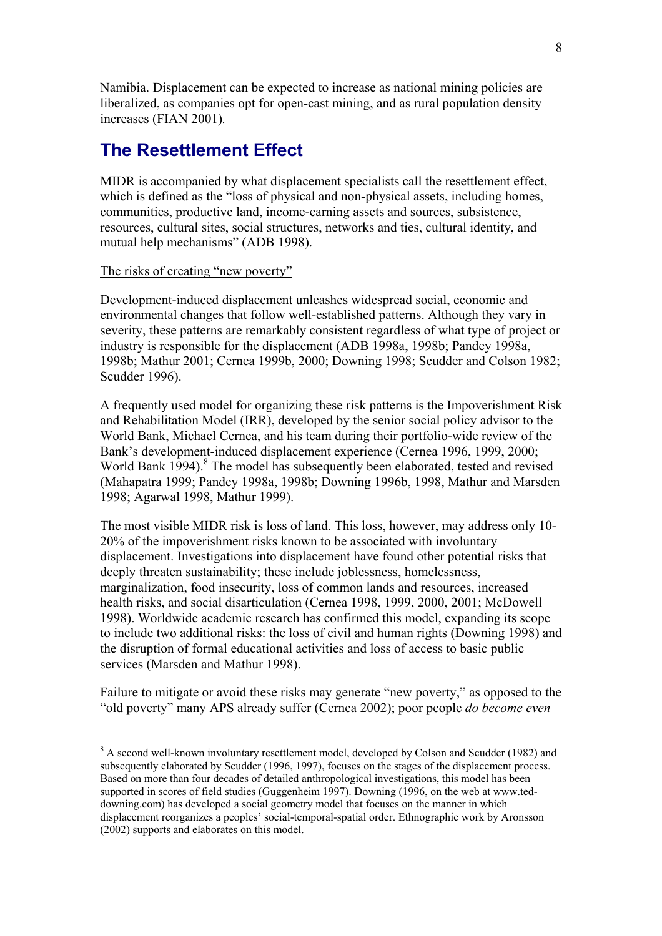<span id="page-7-0"></span>Namibia. Displacement can be expected to increase as national mining policies are liberalized, as companies opt for open-cast mining, and as rural population density increases (FIAN 2001)*.*

## **The Resettlement Effect**

MIDR is accompanied by what displacement specialists call the resettlement effect, which is defined as the "loss of physical and non-physical assets, including homes, communities, productive land, income-earning assets and sources, subsistence, resources, cultural sites, social structures, networks and ties, cultural identity, and mutual help mechanisms" (ADB 1998).

The risks of creating "new poverty"

 $\overline{a}$ 

Development-induced displacement unleashes widespread social, economic and environmental changes that follow well-established patterns. Although they vary in severity, these patterns are remarkably consistent regardless of what type of project or industry is responsible for the displacement (ADB 1998a, 1998b; Pandey 1998a, 1998b; Mathur 2001; Cernea 1999b, 2000; Downing 1998; Scudder and Colson 1982; Scudder 1996).

A frequently used model for organizing these risk patterns is the Impoverishment Risk and Rehabilitation Model (IRR), developed by the senior social policy advisor to the World Bank, Michael Cernea, and his team during their portfolio-wide review of the Bank's development-induced displacement experience (Cernea 1996, 1999, 2000; World Bank 1994).<sup>[8](#page-7-1)</sup> The model has subsequently been elaborated, tested and revised (Mahapatra 1999; Pandey 1998a, 1998b; Downing 1996b, 1998, Mathur and Marsden 1998; Agarwal 1998, Mathur 1999).

The most visible MIDR risk is loss of land. This loss, however, may address only 10- 20% of the impoverishment risks known to be associated with involuntary displacement. Investigations into displacement have found other potential risks that deeply threaten sustainability; these include joblessness, homelessness, marginalization, food insecurity, loss of common lands and resources, increased health risks, and social disarticulation (Cernea 1998, 1999, 2000, 2001; McDowell 1998). Worldwide academic research has confirmed this model, expanding its scope to include two additional risks: the loss of civil and human rights (Downing 1998) and the disruption of formal educational activities and loss of access to basic public services (Marsden and Mathur 1998).

Failure to mitigate or avoid these risks may generate "new poverty," as opposed to the "old poverty" many APS already suffer (Cernea 2002); poor people *do become even* 

<span id="page-7-1"></span><sup>&</sup>lt;sup>8</sup> A second well-known involuntary resettlement model, developed by Colson and Scudder (1982) and subsequently elaborated by Scudder (1996, 1997), focuses on the stages of the displacement process. Based on more than four decades of detailed anthropological investigations, this model has been supported in scores of field studies (Guggenheim 1997). Downing (1996, on the web at www.teddowning.com) has developed a social geometry model that focuses on the manner in which displacement reorganizes a peoples' social-temporal-spatial order. Ethnographic work by Aronsson (2002) supports and elaborates on this model.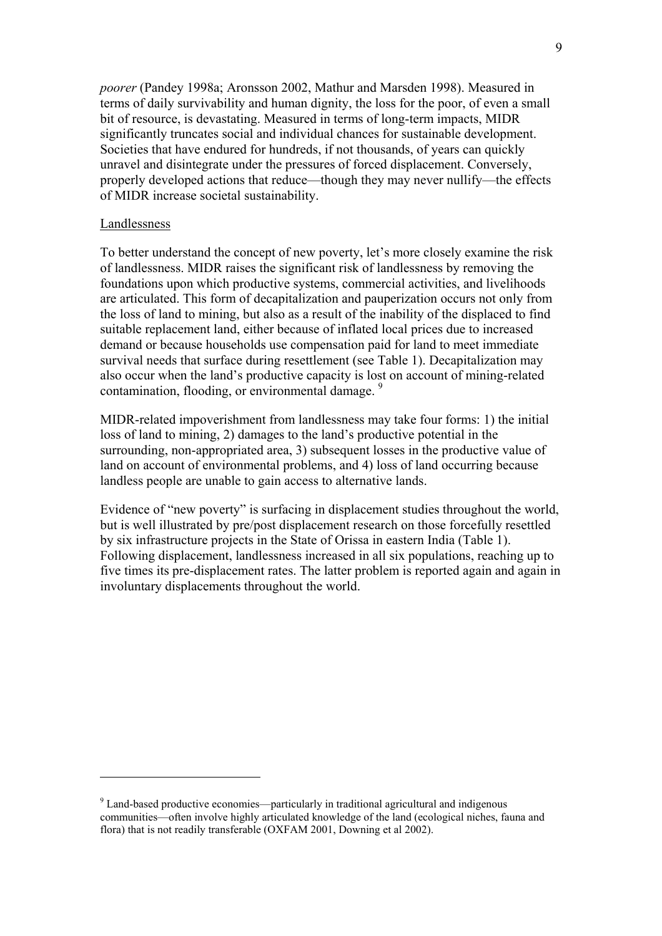*poorer* (Pandey 1998a; Aronsson 2002, Mathur and Marsden 1998). Measured in terms of daily survivability and human dignity, the loss for the poor, of even a small bit of resource, is devastating. Measured in terms of long-term impacts, MIDR significantly truncates social and individual chances for sustainable development. Societies that have endured for hundreds, if not thousands, of years can quickly unravel and disintegrate under the pressures of forced displacement. Conversely, properly developed actions that reduce—though they may never nullify—the effects of MIDR increase societal sustainability.

#### Landlessness

 $\overline{a}$ 

To better understand the concept of new poverty, let's more closely examine the risk of landlessness. MIDR raises the significant risk of landlessness by removing the foundations upon which productive systems, commercial activities, and livelihoods are articulated. This form of decapitalization and pauperization occurs not only from the loss of land to mining, but also as a result of the inability of the displaced to find suitable replacement land, either because of inflated local prices due to increased demand or because households use compensation paid for land to meet immediate survival needs that surface during resettlement (see Table 1). Decapitalization may also occur when the land's productive capacity is lost on account of mining-related contamination, flooding, or environmental damage.<sup>9</sup>

MIDR-related impoverishment from landlessness may take four forms: 1) the initial loss of land to mining, 2) damages to the land's productive potential in the surrounding, non-appropriated area, 3) subsequent losses in the productive value of land on account of environmental problems, and 4) loss of land occurring because landless people are unable to gain access to alternative lands.

Evidence of "new poverty" is surfacing in displacement studies throughout the world, but is well illustrated by pre/post displacement research on those forcefully resettled by six infrastructure projects in the State of Orissa in eastern India (Table 1). Following displacement, landlessness increased in all six populations, reaching up to five times its pre-displacement rates. The latter problem is reported again and again in involuntary displacements throughout the world.

<span id="page-8-0"></span><sup>&</sup>lt;sup>9</sup> Land-based productive economies—particularly in traditional agricultural and indigenous communities—often involve highly articulated knowledge of the land (ecological niches, fauna and flora) that is not readily transferable (OXFAM 2001, Downing et al 2002).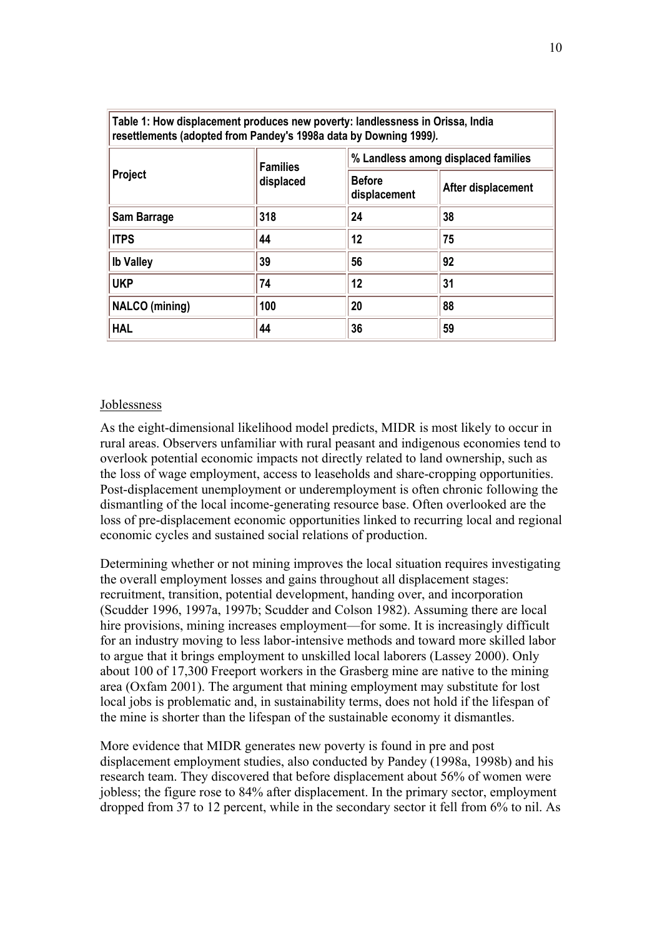| Table 1: How displacement produces new poverty: landlessness in Orissa, India<br>resettlements (adopted from Pandey's 1998a data by Downing 1999). |                              |                                     |                    |  |
|----------------------------------------------------------------------------------------------------------------------------------------------------|------------------------------|-------------------------------------|--------------------|--|
| Project                                                                                                                                            | <b>Families</b><br>displaced | % Landless among displaced families |                    |  |
|                                                                                                                                                    |                              | <b>Before</b><br>displacement       | After displacement |  |
| Sam Barrage                                                                                                                                        | 318                          | 24                                  | 38                 |  |
| <b>ITPS</b>                                                                                                                                        | 44                           | 12                                  | 75                 |  |
| <b>Ib Valley</b>                                                                                                                                   | 39                           | 56                                  | 92                 |  |
| <b>UKP</b>                                                                                                                                         | 74                           | 12                                  | 31                 |  |
| <b>NALCO</b> (mining)                                                                                                                              | 100                          | 20                                  | 88                 |  |
| <b>HAL</b>                                                                                                                                         | 44                           | 36                                  | 59                 |  |

#### Joblessness

As the eight-dimensional likelihood model predicts, MIDR is most likely to occur in rural areas. Observers unfamiliar with rural peasant and indigenous economies tend to overlook potential economic impacts not directly related to land ownership, such as the loss of wage employment, access to leaseholds and share-cropping opportunities. Post-displacement unemployment or underemployment is often chronic following the dismantling of the local income-generating resource base. Often overlooked are the loss of pre-displacement economic opportunities linked to recurring local and regional economic cycles and sustained social relations of production.

Determining whether or not mining improves the local situation requires investigating the overall employment losses and gains throughout all displacement stages: recruitment, transition, potential development, handing over, and incorporation (Scudder 1996, 1997a, 1997b; Scudder and Colson 1982). Assuming there are local hire provisions, mining increases employment—for some. It is increasingly difficult for an industry moving to less labor-intensive methods and toward more skilled labor to argue that it brings employment to unskilled local laborers (Lassey 2000). Only about 100 of 17,300 Freeport workers in the Grasberg mine are native to the mining area (Oxfam 2001). The argument that mining employment may substitute for lost local jobs is problematic and, in sustainability terms, does not hold if the lifespan of the mine is shorter than the lifespan of the sustainable economy it dismantles.

More evidence that MIDR generates new poverty is found in pre and post displacement employment studies, also conducted by Pandey (1998a, 1998b) and his research team. They discovered that before displacement about 56% of women were jobless; the figure rose to 84% after displacement. In the primary sector, employment dropped from 37 to 12 percent, while in the secondary sector it fell from 6% to nil. As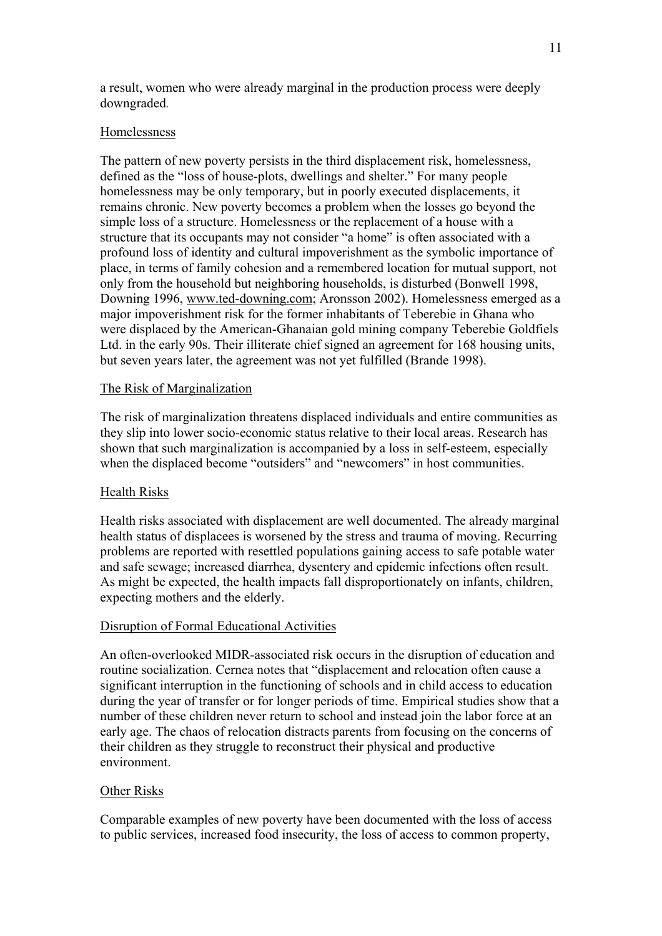a result, women who were already marginal in the production process were deeply downgraded*.* 

#### Homelessness

The pattern of new poverty persists in the third displacement risk, homelessness, defined as the "loss of house-plots, dwellings and shelter." For many people homelessness may be only temporary, but in poorly executed displacements, it remains chronic. New poverty becomes a problem when the losses go beyond the simple loss of a structure. Homelessness or the replacement of a house with a structure that its occupants may not consider "a home" is often associated with a profound loss of identity and cultural impoverishment as the symbolic importance of place, in terms of family cohesion and a remembered location for mutual support, not only from the household but neighboring households, is disturbed (Bonwell 1998, Downing 1996, [www.ted-downing.com;](http://www.ted-downing.com/) Aronsson 2002). Homelessness emerged as a major impoverishment risk for the former inhabitants of Teberebie in Ghana who were displaced by the American-Ghanaian gold mining company Teberebie Goldfiels Ltd. in the early 90s. Their illiterate chief signed an agreement for 168 housing units, but seven years later, the agreement was not yet fulfilled (Brande 1998).

#### The Risk of Marginalization

The risk of marginalization threatens displaced individuals and entire communities as they slip into lower socio-economic status relative to their local areas. Research has shown that such marginalization is accompanied by a loss in self-esteem, especially when the displaced become "outsiders" and "newcomers" in host communities.

#### Health Risks

Health risks associated with displacement are well documented. The already marginal health status of displacees is worsened by the stress and trauma of moving. Recurring problems are reported with resettled populations gaining access to safe potable water and safe sewage; increased diarrhea, dysentery and epidemic infections often result. As might be expected, the health impacts fall disproportionately on infants, children, expecting mothers and the elderly.

#### Disruption of Formal Educational Activities

An often-overlooked MIDR-associated risk occurs in the disruption of education and routine socialization. Cernea notes that "displacement and relocation often cause a significant interruption in the functioning of schools and in child access to education during the year of transfer or for longer periods of time. Empirical studies show that a number of these children never return to school and instead join the labor force at an early age. The chaos of relocation distracts parents from focusing on the concerns of their children as they struggle to reconstruct their physical and productive environment.

#### Other Risks

Comparable examples of new poverty have been documented with the loss of access to public services, increased food insecurity, the loss of access to common property,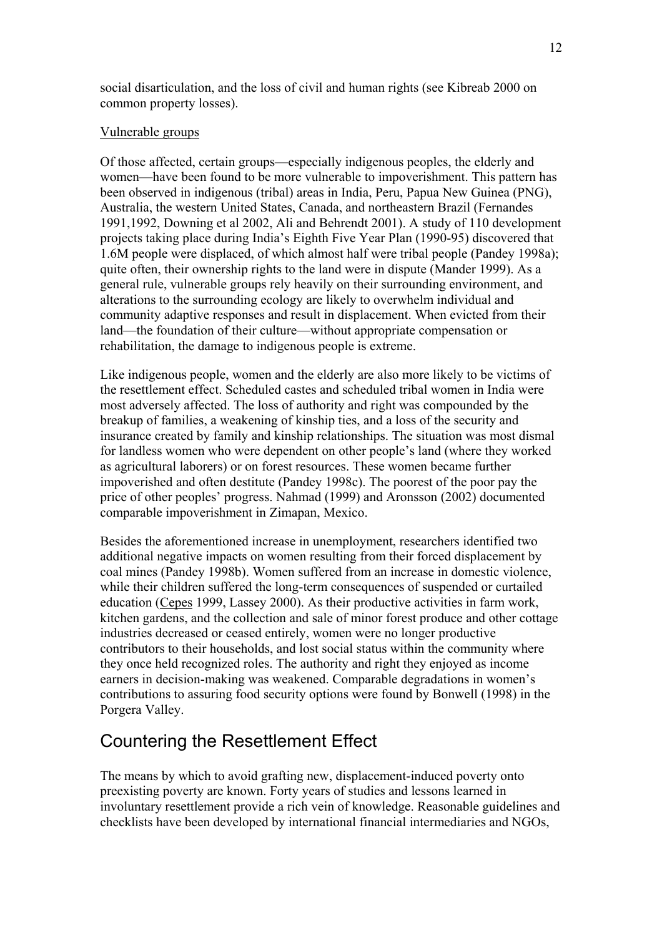<span id="page-11-0"></span>social disarticulation, and the loss of civil and human rights (see Kibreab 2000 on common property losses).

#### Vulnerable groups

Of those affected, certain groups—especially indigenous peoples, the elderly and women—have been found to be more vulnerable to impoverishment. This pattern has been observed in indigenous (tribal) areas in India, Peru, Papua New Guinea (PNG), Australia, the western United States, Canada, and northeastern Brazil (Fernandes 1991,1992, Downing et al 2002, Ali and Behrendt 2001). A study of 110 development projects taking place during India's Eighth Five Year Plan (1990-95) discovered that 1.6M people were displaced, of which almost half were tribal people (Pandey 1998a); quite often, their ownership rights to the land were in dispute (Mander 1999). As a general rule, vulnerable groups rely heavily on their surrounding environment, and alterations to the surrounding ecology are likely to overwhelm individual and community adaptive responses and result in displacement. When evicted from their land—the foundation of their culture—without appropriate compensation or rehabilitation, the damage to indigenous people is extreme.

Like indigenous people, women and the elderly are also more likely to be victims of the resettlement effect. Scheduled castes and scheduled tribal women in India were most adversely affected. The loss of authority and right was compounded by the breakup of families, a weakening of kinship ties, and a loss of the security and insurance created by family and kinship relationships. The situation was most dismal for landless women who were dependent on other people's land (where they worked as agricultural laborers) or on forest resources. These women became further impoverished and often destitute (Pandey 1998c). The poorest of the poor pay the price of other peoples' progress. Nahmad (1999) and Aronsson (2002) documented comparable impoverishment in Zimapan, Mexico.

Besides the aforementioned increase in unemployment, researchers identified two additional negative impacts on women resulting from their forced displacement by coal mines (Pandey 1998b). Women suffered from an increase in domestic violence, while their children suffered the long-term consequences of suspended or curtailed education ([Cepes](http://www.cepes.org.pe/coalition/Paises/Peru/Cas_Per/Articulo/MinyComu/ArtRonda.htm) 1999, Lassey 2000). As their productive activities in farm work, kitchen gardens, and the collection and sale of minor forest produce and other cottage industries decreased or ceased entirely, women were no longer productive contributors to their households, and lost social status within the community where they once held recognized roles. The authority and right they enjoyed as income earners in decision-making was weakened. Comparable degradations in women's contributions to assuring food security options were found by Bonwell (1998) in the Porgera Valley.

## Countering the Resettlement Effect

The means by which to avoid grafting new, displacement-induced poverty onto preexisting poverty are known. Forty years of studies and lessons learned in involuntary resettlement provide a rich vein of knowledge. Reasonable guidelines and checklists have been developed by international financial intermediaries and NGOs,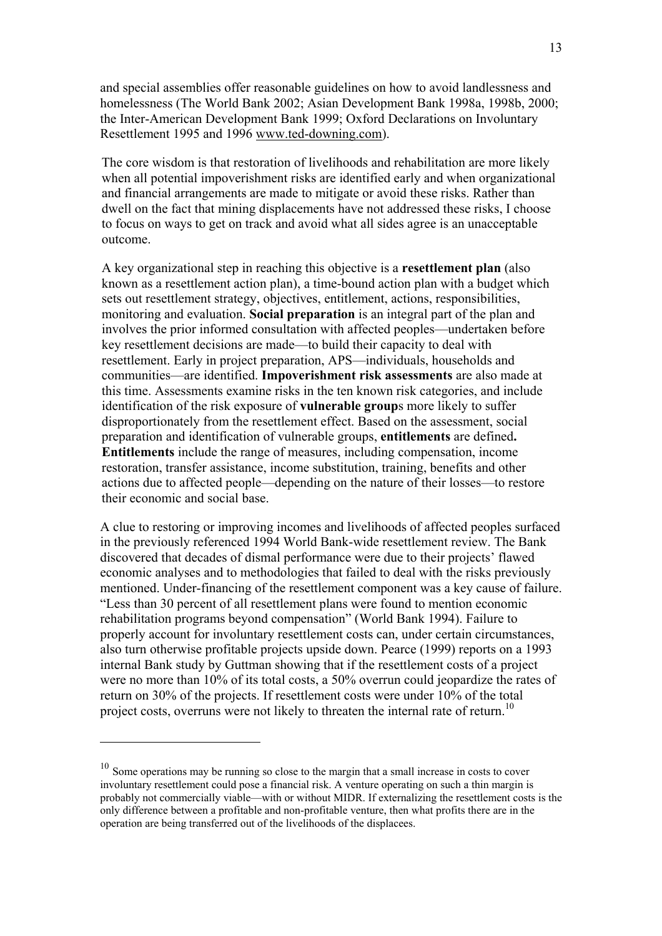and special assemblies offer reasonable guidelines on how to avoid landlessness and homelessness (The World Bank 2002; Asian Development Bank 1998a, 1998b, 2000; the Inter-American Development Bank 1999; Oxford Declarations on Involuntary Resettlement 1995 and 1996 [www.ted-downing.com](http://www.ted-downing.com/)).

The core wisdom is that restoration of livelihoods and rehabilitation are more likely when all potential impoverishment risks are identified early and when organizational and financial arrangements are made to mitigate or avoid these risks. Rather than dwell on the fact that mining displacements have not addressed these risks, I choose to focus on ways to get on track and avoid what all sides agree is an unacceptable outcome.

A key organizational step in reaching this objective is a **resettlement plan** (also known as a resettlement action plan), a time-bound action plan with a budget which sets out resettlement strategy, objectives, entitlement, actions, responsibilities, monitoring and evaluation. **Social preparation** is an integral part of the plan and involves the prior informed consultation with affected peoples—undertaken before key resettlement decisions are made—to build their capacity to deal with resettlement. Early in project preparation, APS—individuals, households and communities—are identified. **Impoverishment risk assessments** are also made at this time. Assessments examine risks in the ten known risk categories, and include identification of the risk exposure of **vulnerable group**s more likely to suffer disproportionately from the resettlement effect. Based on the assessment, social preparation and identification of vulnerable groups, **entitlements** are defined**. Entitlements** include the range of measures, including compensation, income restoration, transfer assistance, income substitution, training, benefits and other actions due to affected people—depending on the nature of their losses—to restore their economic and social base.

A clue to restoring or improving incomes and livelihoods of affected peoples surfaced in the previously referenced 1994 World Bank-wide resettlement review. The Bank discovered that decades of dismal performance were due to their projects' flawed economic analyses and to methodologies that failed to deal with the risks previously mentioned. Under-financing of the resettlement component was a key cause of failure. "Less than 30 percent of all resettlement plans were found to mention economic rehabilitation programs beyond compensation" (World Bank 1994). Failure to properly account for involuntary resettlement costs can, under certain circumstances, also turn otherwise profitable projects upside down. Pearce (1999) reports on a 1993 internal Bank study by Guttman showing that if the resettlement costs of a project were no more than 10% of its total costs, a 50% overrun could jeopardize the rates of return on 30% of the projects. If resettlement costs were under 10% of the total project costs, overruns were not likely to threaten the internal rate of return.<sup>10</sup>

<span id="page-12-0"></span> $10$  Some operations may be running so close to the margin that a small increase in costs to cover involuntary resettlement could pose a financial risk. A venture operating on such a thin margin is probably not commercially viable—with or without MIDR. If externalizing the resettlement costs is the only difference between a profitable and non-profitable venture, then what profits there are in the operation are being transferred out of the livelihoods of the displacees.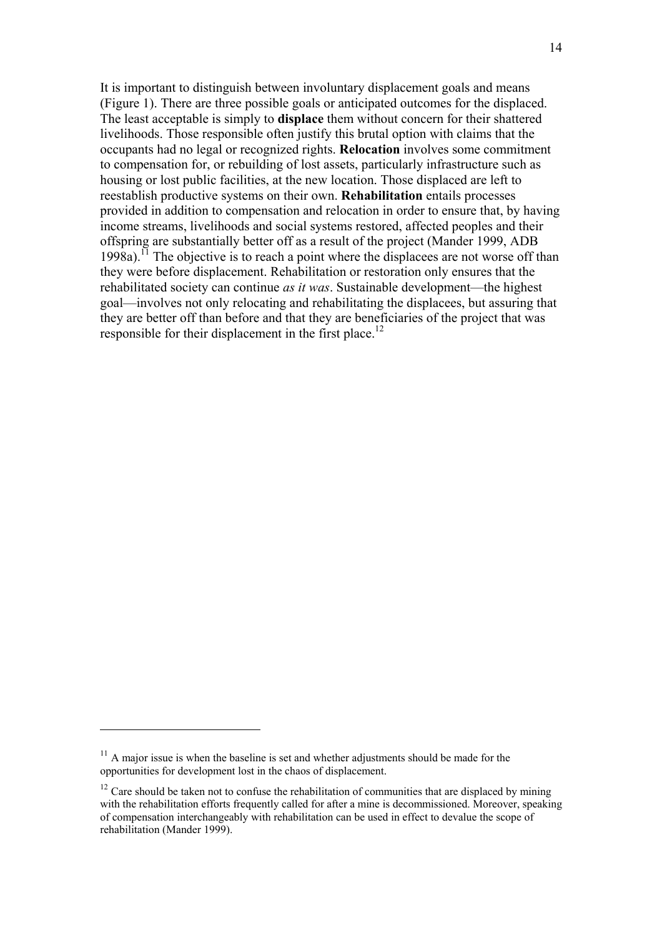It is important to distinguish between involuntary displacement goals and means (Figure 1). There are three possible goals or anticipated outcomes for the displaced. The least acceptable is simply to **displace** them without concern for their shattered livelihoods. Those responsible often justify this brutal option with claims that the occupants had no legal or recognized rights. **Relocation** involves some commitment to compensation for, or rebuilding of lost assets, particularly infrastructure such as housing or lost public facilities, at the new location. Those displaced are left to reestablish productive systems on their own. **Rehabilitation** entails processes provided in addition to compensation and relocation in order to ensure that, by having income streams, livelihoods and social systems restored, affected peoples and their offspring are substantially better off as a result of the project (Mander 1999, ADB  $1998a$ .<sup>11</sup> The objective is to reach a point where the displacees are not worse off than they were before displacement. Rehabilitation or restoration only ensures that the rehabilitated society can continue *as it was*. Sustainable development—the highest goal—involves not only relocating and rehabilitating the displacees, but assuring that they are better off than before and that they are beneficiaries of the project that was responsible for their displacement in the first place.<sup>12</sup>

<span id="page-13-0"></span> $11$  A major issue is when the baseline is set and whether adjustments should be made for the opportunities for development lost in the chaos of displacement.

<span id="page-13-1"></span> $12$  Care should be taken not to confuse the rehabilitation of communities that are displaced by mining with the rehabilitation efforts frequently called for after a mine is decommissioned. Moreover, speaking of compensation interchangeably with rehabilitation can be used in effect to devalue the scope of rehabilitation (Mander 1999).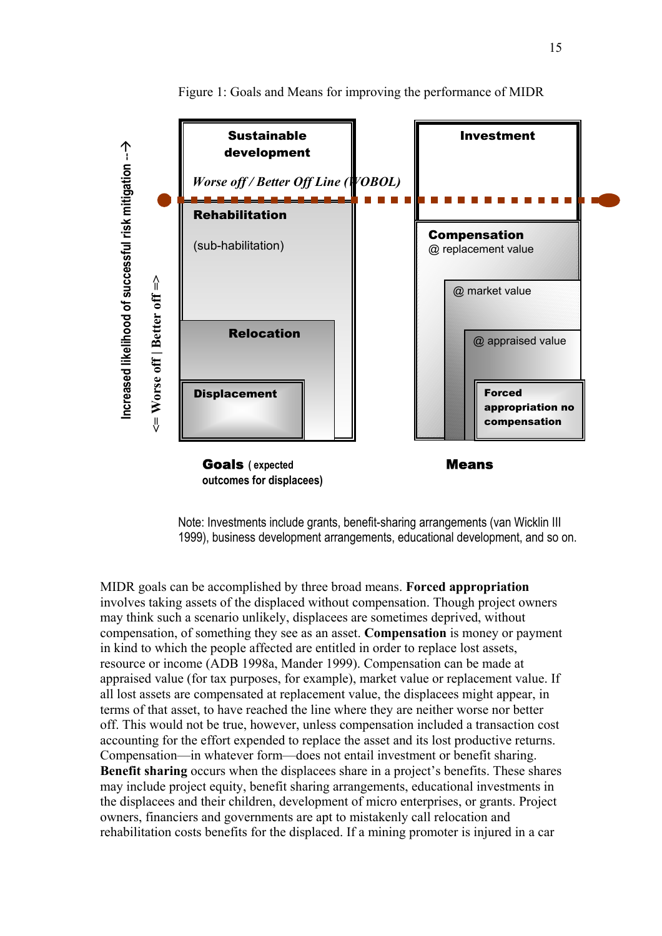

Figure 1: Goals and Means for improving the performance of MIDR

Note: Investments include grants, benefit-sharing arrangements (van Wicklin III 1999), business development arrangements, educational development, and so on.

MIDR goals can be accomplished by three broad means. **Forced appropriation**  involves taking assets of the displaced without compensation. Though project owners may think such a scenario unlikely, displacees are sometimes deprived, without compensation, of something they see as an asset. **Compensation** is money or payment in kind to which the people affected are entitled in order to replace lost assets, resource or income (ADB 1998a, Mander 1999). Compensation can be made at appraised value (for tax purposes, for example), market value or replacement value. If all lost assets are compensated at replacement value, the displacees might appear, in terms of that asset, to have reached the line where they are neither worse nor better off. This would not be true, however, unless compensation included a transaction cost accounting for the effort expended to replace the asset and its lost productive returns. Compensation—in whatever form—does not entail investment or benefit sharing. **Benefit sharing** occurs when the displacees share in a project's benefits. These shares may include project equity, benefit sharing arrangements, educational investments in the displacees and their children, development of micro enterprises, or grants. Project owners, financiers and governments are apt to mistakenly call relocation and rehabilitation costs benefits for the displaced. If a mining promoter is injured in a car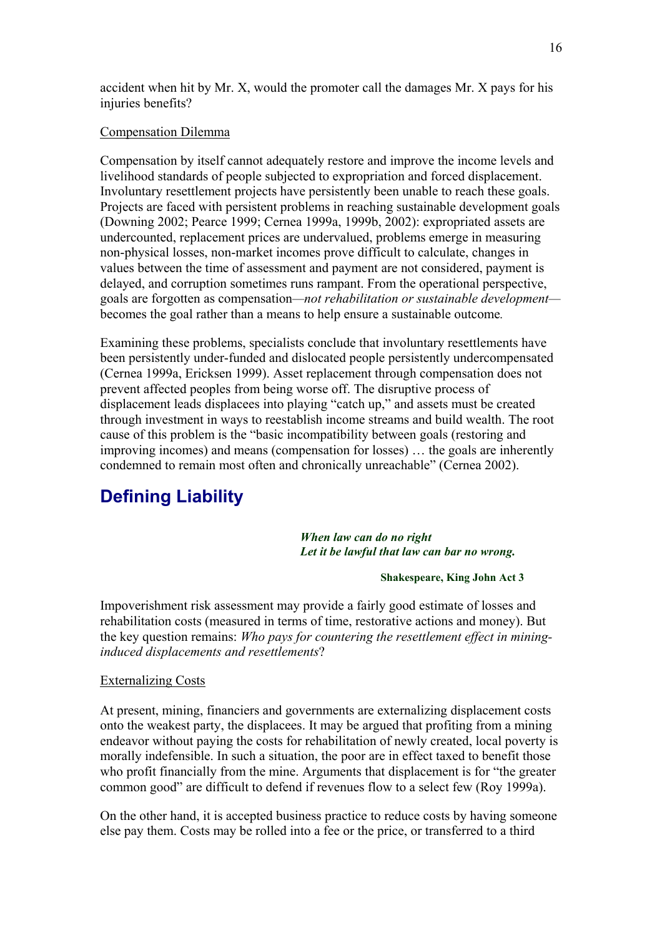<span id="page-15-0"></span>accident when hit by Mr. X, would the promoter call the damages Mr. X pays for his injuries benefits?

#### Compensation Dilemma

Compensation by itself cannot adequately restore and improve the income levels and livelihood standards of people subjected to expropriation and forced displacement. Involuntary resettlement projects have persistently been unable to reach these goals. Projects are faced with persistent problems in reaching sustainable development goals (Downing 2002; Pearce 1999; Cernea 1999a, 1999b, 2002): expropriated assets are undercounted, replacement prices are undervalued, problems emerge in measuring non-physical losses, non-market incomes prove difficult to calculate, changes in values between the time of assessment and payment are not considered, payment is delayed, and corruption sometimes runs rampant. From the operational perspective, goals are forgotten as compensation*—not rehabilitation or sustainable development* becomes the goal rather than a means to help ensure a sustainable outcome*.*

Examining these problems, specialists conclude that involuntary resettlements have been persistently under-funded and dislocated people persistently undercompensated (Cernea 1999a, Ericksen 1999). Asset replacement through compensation does not prevent affected peoples from being worse off. The disruptive process of displacement leads displacees into playing "catch up," and assets must be created through investment in ways to reestablish income streams and build wealth. The root cause of this problem is the "basic incompatibility between goals (restoring and improving incomes) and means (compensation for losses) … the goals are inherently condemned to remain most often and chronically unreachable" (Cernea 2002).

## **Defining Liability**

#### *When law can do no right Let it be lawful that law can bar no wrong.*

#### **Shakespeare, King John Act 3**

Impoverishment risk assessment may provide a fairly good estimate of losses and rehabilitation costs (measured in terms of time, restorative actions and money). But the key question remains: *Who pays for countering the resettlement effect in mininginduced displacements and resettlements*?

#### Externalizing Costs

At present, mining, financiers and governments are externalizing displacement costs onto the weakest party, the displacees. It may be argued that profiting from a mining endeavor without paying the costs for rehabilitation of newly created, local poverty is morally indefensible. In such a situation, the poor are in effect taxed to benefit those who profit financially from the mine. Arguments that displacement is for "the greater common good" are difficult to defend if revenues flow to a select few (Roy 1999a).

On the other hand, it is accepted business practice to reduce costs by having someone else pay them. Costs may be rolled into a fee or the price, or transferred to a third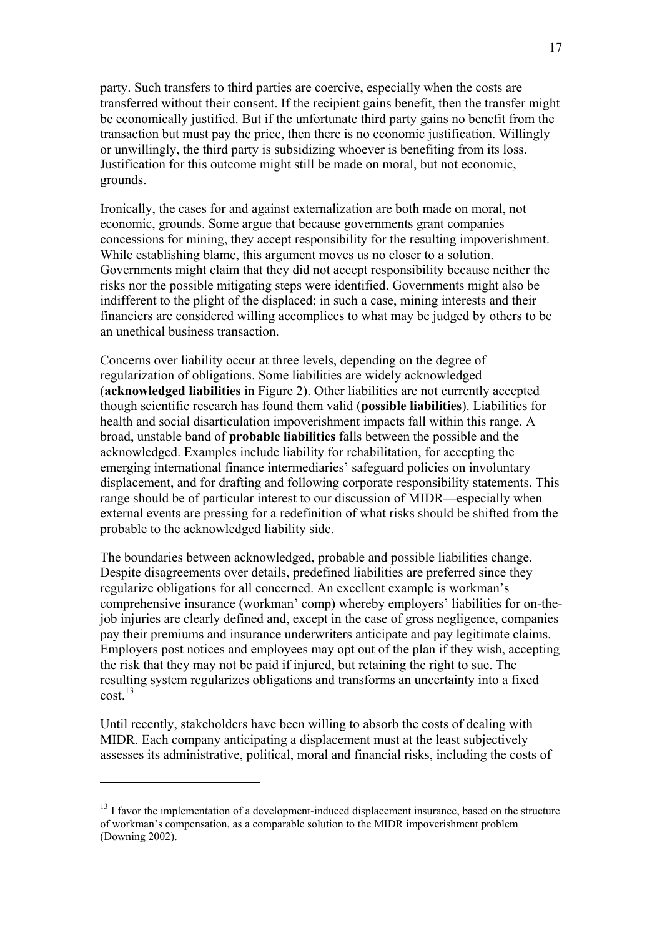party. Such transfers to third parties are coercive, especially when the costs are transferred without their consent. If the recipient gains benefit, then the transfer might be economically justified. But if the unfortunate third party gains no benefit from the transaction but must pay the price, then there is no economic justification. Willingly or unwillingly, the third party is subsidizing whoever is benefiting from its loss. Justification for this outcome might still be made on moral, but not economic, grounds.

Ironically, the cases for and against externalization are both made on moral, not economic, grounds. Some argue that because governments grant companies concessions for mining, they accept responsibility for the resulting impoverishment. While establishing blame, this argument moves us no closer to a solution. Governments might claim that they did not accept responsibility because neither the risks nor the possible mitigating steps were identified. Governments might also be indifferent to the plight of the displaced; in such a case, mining interests and their financiers are considered willing accomplices to what may be judged by others to be an unethical business transaction.

Concerns over liability occur at three levels, depending on the degree of regularization of obligations. Some liabilities are widely acknowledged (**acknowledged liabilities** in Figure 2). Other liabilities are not currently accepted though scientific research has found them valid (**possible liabilities**). Liabilities for health and social disarticulation impoverishment impacts fall within this range. A broad, unstable band of **probable liabilities** falls between the possible and the acknowledged. Examples include liability for rehabilitation, for accepting the emerging international finance intermediaries' safeguard policies on involuntary displacement, and for drafting and following corporate responsibility statements. This range should be of particular interest to our discussion of MIDR—especially when external events are pressing for a redefinition of what risks should be shifted from the probable to the acknowledged liability side.

The boundaries between acknowledged, probable and possible liabilities change. Despite disagreements over details, predefined liabilities are preferred since they regularize obligations for all concerned. An excellent example is workman's comprehensive insurance (workman' comp) whereby employers' liabilities for on-thejob injuries are clearly defined and, except in the case of gross negligence, companies pay their premiums and insurance underwriters anticipate and pay legitimate claims. Employers post notices and employees may opt out of the plan if they wish, accepting the risk that they may not be paid if injured, but retaining the right to sue. The resulting system regularizes obligations and transforms an uncertainty into a fixed cost[.13](#page-16-0)

Until recently, stakeholders have been willing to absorb the costs of dealing with MIDR. Each company anticipating a displacement must at the least subjectively assesses its administrative, political, moral and financial risks, including the costs of

<span id="page-16-0"></span><sup>&</sup>lt;sup>13</sup> I favor the implementation of a development-induced displacement insurance, based on the structure of workman's compensation, as a comparable solution to the MIDR impoverishment problem (Downing 2002).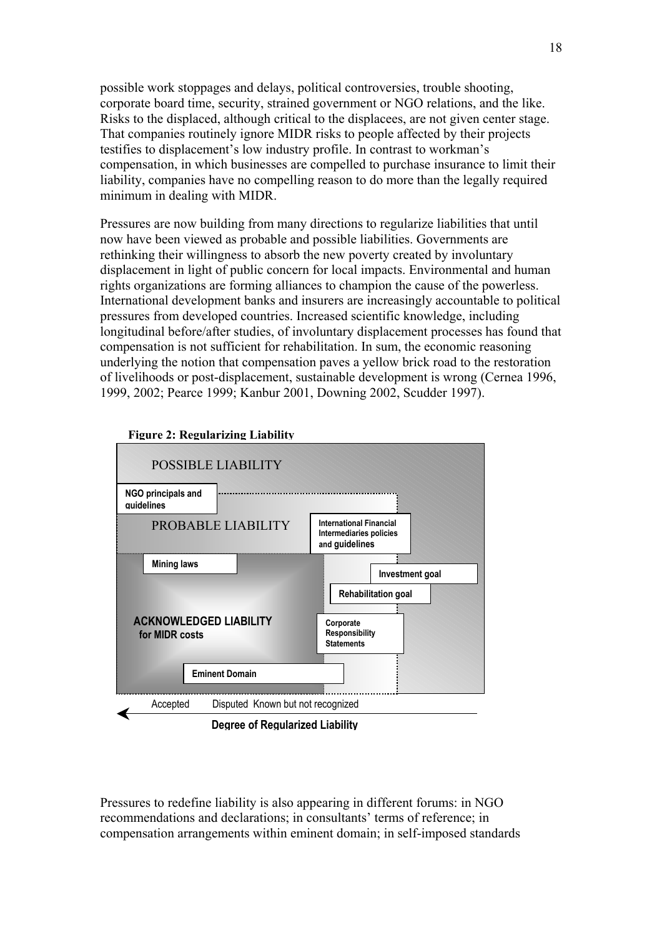possible work stoppages and delays, political controversies, trouble shooting, corporate board time, security, strained government or NGO relations, and the like. Risks to the displaced, although critical to the displacees, are not given center stage. That companies routinely ignore MIDR risks to people affected by their projects testifies to displacement's low industry profile. In contrast to workman's compensation, in which businesses are compelled to purchase insurance to limit their liability, companies have no compelling reason to do more than the legally required minimum in dealing with MIDR.

Pressures are now building from many directions to regularize liabilities that until now have been viewed as probable and possible liabilities. Governments are rethinking their willingness to absorb the new poverty created by involuntary displacement in light of public concern for local impacts. Environmental and human rights organizations are forming alliances to champion the cause of the powerless. International development banks and insurers are increasingly accountable to political pressures from developed countries. Increased scientific knowledge, including longitudinal before/after studies, of involuntary displacement processes has found that compensation is not sufficient for rehabilitation. In sum, the economic reasoning underlying the notion that compensation paves a yellow brick road to the restoration of livelihoods or post-displacement, sustainable development is wrong (Cernea 1996, 1999, 2002; Pearce 1999; Kanbur 2001, Downing 2002, Scudder 1997).



**Figure 2: Regularizing Liability**

**Degree of Regularized Liability** 

Pressures to redefine liability is also appearing in different forums: in NGO recommendations and declarations; in consultants' terms of reference; in compensation arrangements within eminent domain; in self-imposed standards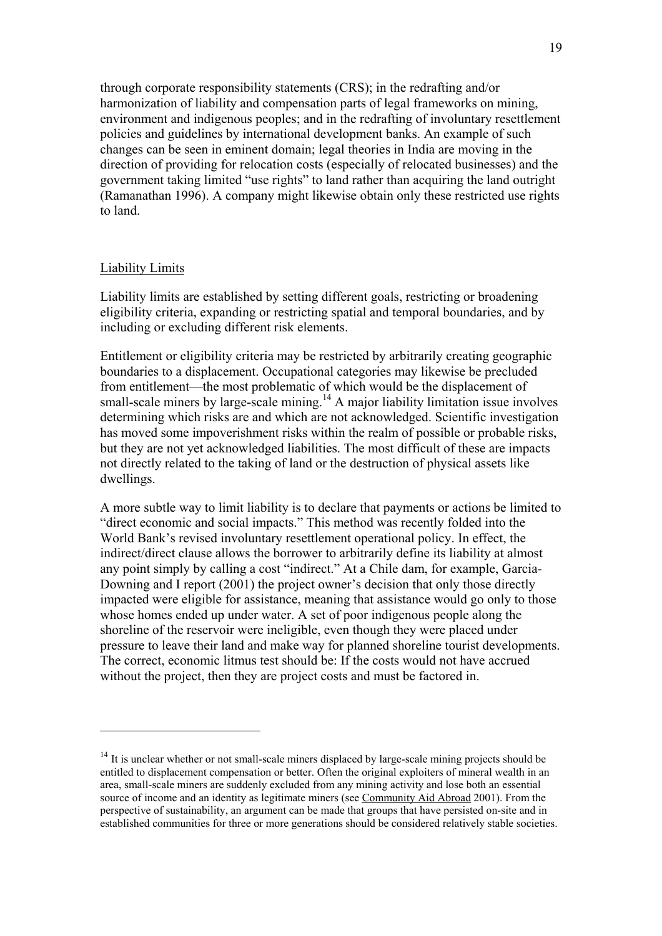through corporate responsibility statements (CRS); in the redrafting and/or harmonization of liability and compensation parts of legal frameworks on mining, environment and indigenous peoples; and in the redrafting of involuntary resettlement policies and guidelines by international development banks. An example of such changes can be seen in eminent domain; legal theories in India are moving in the direction of providing for relocation costs (especially of relocated businesses) and the government taking limited "use rights" to land rather than acquiring the land outright (Ramanathan 1996). A company might likewise obtain only these restricted use rights to land.

#### Liability Limits

 $\overline{a}$ 

Liability limits are established by setting different goals, restricting or broadening eligibility criteria, expanding or restricting spatial and temporal boundaries, and by including or excluding different risk elements.

Entitlement or eligibility criteria may be restricted by arbitrarily creating geographic boundaries to a displacement. Occupational categories may likewise be precluded from entitlement—the most problematic of which would be the displacement of small-scale miners by large-scale mining.<sup>14</sup> A major liability limitation issue involves determining which risks are and which are not acknowledged. Scientific investigation has moved some impoverishment risks within the realm of possible or probable risks, but they are not yet acknowledged liabilities. The most difficult of these are impacts not directly related to the taking of land or the destruction of physical assets like dwellings.

A more subtle way to limit liability is to declare that payments or actions be limited to "direct economic and social impacts." This method was recently folded into the World Bank's revised involuntary resettlement operational policy. In effect, the indirect/direct clause allows the borrower to arbitrarily define its liability at almost any point simply by calling a cost "indirect." At a Chile dam, for example, Garcia-Downing and I report (2001) the project owner's decision that only those directly impacted were eligible for assistance, meaning that assistance would go only to those whose homes ended up under water. A set of poor indigenous people along the shoreline of the reservoir were ineligible, even though they were placed under pressure to leave their land and make way for planned shoreline tourist developments. The correct, economic litmus test should be: If the costs would not have accrued without the project, then they are project costs and must be factored in.

<span id="page-18-0"></span><sup>&</sup>lt;sup>14</sup> It is unclear whether or not small-scale miners displaced by large-scale mining projects should be entitled to displacement compensation or better. Often the original exploiters of mineral wealth in an area, small-scale miners are suddenly excluded from any mining activity and lose both an essential source of income and an identity as legitimate miners (see [Community Aid Abroad](http://www.caa.org.au/campaigns/mining/impact2.html) 2001). From the perspective of sustainability, an argument can be made that groups that have persisted on-site and in established communities for three or more generations should be considered relatively stable societies.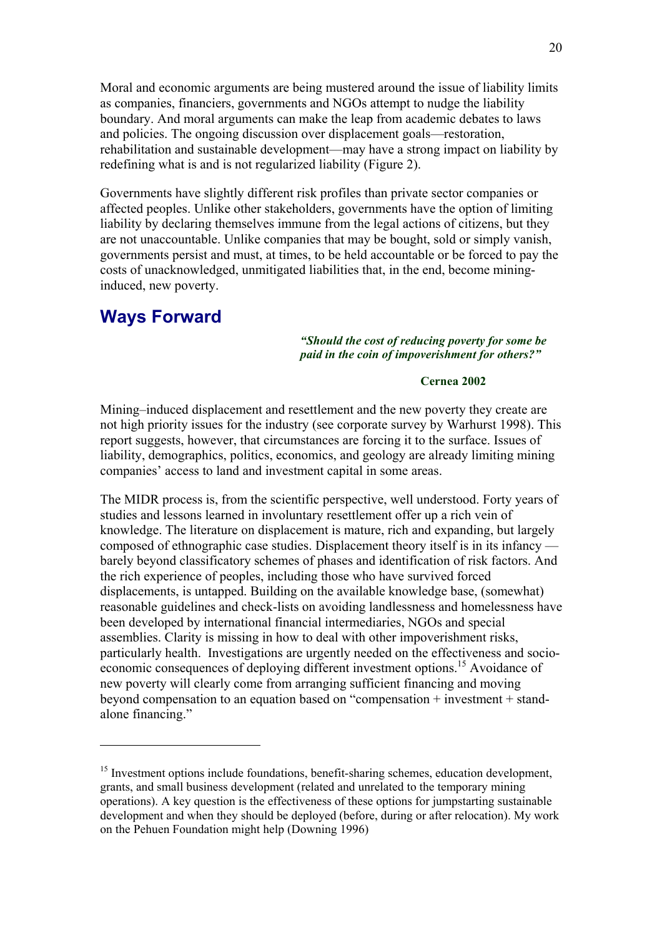<span id="page-19-0"></span>Moral and economic arguments are being mustered around the issue of liability limits as companies, financiers, governments and NGOs attempt to nudge the liability boundary. And moral arguments can make the leap from academic debates to laws and policies. The ongoing discussion over displacement goals—restoration, rehabilitation and sustainable development—may have a strong impact on liability by redefining what is and is not regularized liability (Figure 2).

Governments have slightly different risk profiles than private sector companies or affected peoples. Unlike other stakeholders, governments have the option of limiting liability by declaring themselves immune from the legal actions of citizens, but they are not unaccountable. Unlike companies that may be bought, sold or simply vanish, governments persist and must, at times, to be held accountable or be forced to pay the costs of unacknowledged, unmitigated liabilities that, in the end, become mininginduced, new poverty.

### **Ways Forward**

 $\overline{a}$ 

#### *"Should the cost of reducing poverty for some be paid in the coin of impoverishment for others?"*

#### **Cernea 2002**

Mining–induced displacement and resettlement and the new poverty they create are not high priority issues for the industry (see corporate survey by Warhurst 1998). This report suggests, however, that circumstances are forcing it to the surface. Issues of liability, demographics, politics, economics, and geology are already limiting mining companies' access to land and investment capital in some areas.

The MIDR process is, from the scientific perspective, well understood. Forty years of studies and lessons learned in involuntary resettlement offer up a rich vein of knowledge. The literature on displacement is mature, rich and expanding, but largely composed of ethnographic case studies. Displacement theory itself is in its infancy barely beyond classificatory schemes of phases and identification of risk factors. And the rich experience of peoples, including those who have survived forced displacements, is untapped. Building on the available knowledge base, (somewhat) reasonable guidelines and check-lists on avoiding landlessness and homelessness have been developed by international financial intermediaries, NGOs and special assemblies. Clarity is missing in how to deal with other impoverishment risks, particularly health. Investigations are urgently needed on the effectiveness and socioeconomic consequences of deploying different investment options.<sup>15</sup> Avoidance of new poverty will clearly come from arranging sufficient financing and moving beyond compensation to an equation based on "compensation + investment + standalone financing."

<span id="page-19-1"></span> $15$  Investment options include foundations, benefit-sharing schemes, education development, grants, and small business development (related and unrelated to the temporary mining operations). A key question is the effectiveness of these options for jumpstarting sustainable development and when they should be deployed (before, during or after relocation). My work on the Pehuen Foundation might help (Downing 1996)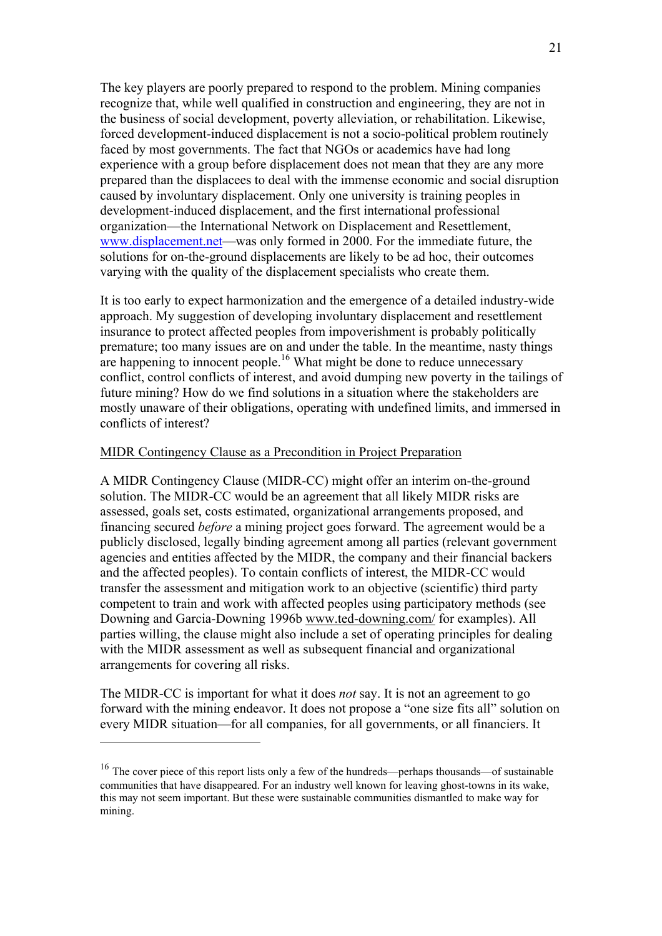The key players are poorly prepared to respond to the problem. Mining companies recognize that, while well qualified in construction and engineering, they are not in the business of social development, poverty alleviation, or rehabilitation. Likewise, forced development-induced displacement is not a socio-political problem routinely faced by most governments. The fact that NGOs or academics have had long experience with a group before displacement does not mean that they are any more prepared than the displacees to deal with the immense economic and social disruption caused by involuntary displacement. Only one university is training peoples in development-induced displacement, and the first international professional organization—the International Network on Displacement and Resettlement, [www.displacement.net—](http://www.displacement.net/)was only formed in 2000. For the immediate future, the solutions for on-the-ground displacements are likely to be ad hoc, their outcomes varying with the quality of the displacement specialists who create them.

It is too early to expect harmonization and the emergence of a detailed industry-wide approach. My suggestion of developing involuntary displacement and resettlement insurance to protect affected peoples from impoverishment is probably politically premature; too many issues are on and under the table. In the meantime, nasty things are happening to innocent people.<sup>16</sup> What might be done to reduce unnecessary conflict, control conflicts of interest, and avoid dumping new poverty in the tailings of future mining? How do we find solutions in a situation where the stakeholders are mostly unaware of their obligations, operating with undefined limits, and immersed in conflicts of interest?

#### MIDR Contingency Clause as a Precondition in Project Preparation

A MIDR Contingency Clause (MIDR-CC) might offer an interim on-the-ground solution. The MIDR-CC would be an agreement that all likely MIDR risks are assessed, goals set, costs estimated, organizational arrangements proposed, and financing secured *before* a mining project goes forward. The agreement would be a publicly disclosed, legally binding agreement among all parties (relevant government agencies and entities affected by the MIDR, the company and their financial backers and the affected peoples). To contain conflicts of interest, the MIDR-CC would transfer the assessment and mitigation work to an objective (scientific) third party competent to train and work with affected peoples using participatory methods (see Downing and Garcia-Downing 1996b [www.ted-downing.com/](http://www.ted-downing.com/) for examples). All parties willing, the clause might also include a set of operating principles for dealing with the MIDR assessment as well as subsequent financial and organizational arrangements for covering all risks.

The MIDR-CC is important for what it does *not* say. It is not an agreement to go forward with the mining endeavor. It does not propose a "one size fits all" solution on every MIDR situation—for all companies, for all governments, or all financiers. It

<span id="page-20-0"></span><sup>&</sup>lt;sup>16</sup> The cover piece of this report lists only a few of the hundreds—perhaps thousands—of sustainable communities that have disappeared. For an industry well known for leaving ghost-towns in its wake, this may not seem important. But these were sustainable communities dismantled to make way for mining.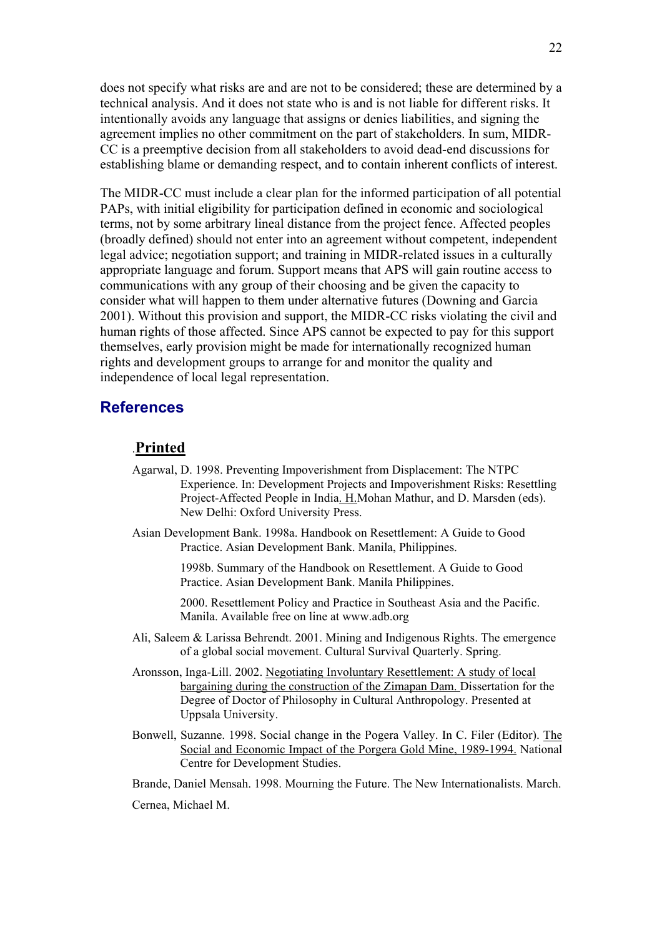<span id="page-21-0"></span>does not specify what risks are and are not to be considered; these are determined by a technical analysis. And it does not state who is and is not liable for different risks. It intentionally avoids any language that assigns or denies liabilities, and signing the agreement implies no other commitment on the part of stakeholders. In sum, MIDR-CC is a preemptive decision from all stakeholders to avoid dead-end discussions for establishing blame or demanding respect, and to contain inherent conflicts of interest.

The MIDR-CC must include a clear plan for the informed participation of all potential PAPs, with initial eligibility for participation defined in economic and sociological terms, not by some arbitrary lineal distance from the project fence. Affected peoples (broadly defined) should not enter into an agreement without competent, independent legal advice; negotiation support; and training in MIDR-related issues in a culturally appropriate language and forum. Support means that APS will gain routine access to communications with any group of their choosing and be given the capacity to consider what will happen to them under alternative futures (Downing and Garcia 2001). Without this provision and support, the MIDR-CC risks violating the civil and human rights of those affected. Since APS cannot be expected to pay for this support themselves, early provision might be made for internationally recognized human rights and development groups to arrange for and monitor the quality and independence of local legal representation.

#### **References**

#### .**Printed**

- Agarwal, D. 1998. Preventing Impoverishment from Displacement: The NTPC Experience. In: Development Projects and Impoverishment Risks: Resettling Project-Affected People in India. H.Mohan Mathur, and D. Marsden (eds). New Delhi: Oxford University Press.
- Asian Development Bank. 1998a. Handbook on Resettlement: A Guide to Good Practice. Asian Development Bank. Manila, Philippines.

1998b. Summary of the Handbook on Resettlement. A Guide to Good Practice. Asian Development Bank. Manila Philippines.

2000. Resettlement Policy and Practice in Southeast Asia and the Pacific. Manila. Available free on line at www.adb.org

- Ali, Saleem & Larissa Behrendt. 2001. Mining and Indigenous Rights. The emergence of a global social movement. Cultural Survival Quarterly. Spring.
- Aronsson, Inga-Lill. 2002. Negotiating Involuntary Resettlement: A study of local bargaining during the construction of the Zimapan Dam. Dissertation for the Degree of Doctor of Philosophy in Cultural Anthropology. Presented at Uppsala University.
- Bonwell, Suzanne. 1998. Social change in the Pogera Valley. In C. Filer (Editor). The Social and Economic Impact of the Porgera Gold Mine, 1989-1994. National Centre for Development Studies.
- Brande, Daniel Mensah. 1998. Mourning the Future. The New Internationalists. March.

Cernea, Michael M.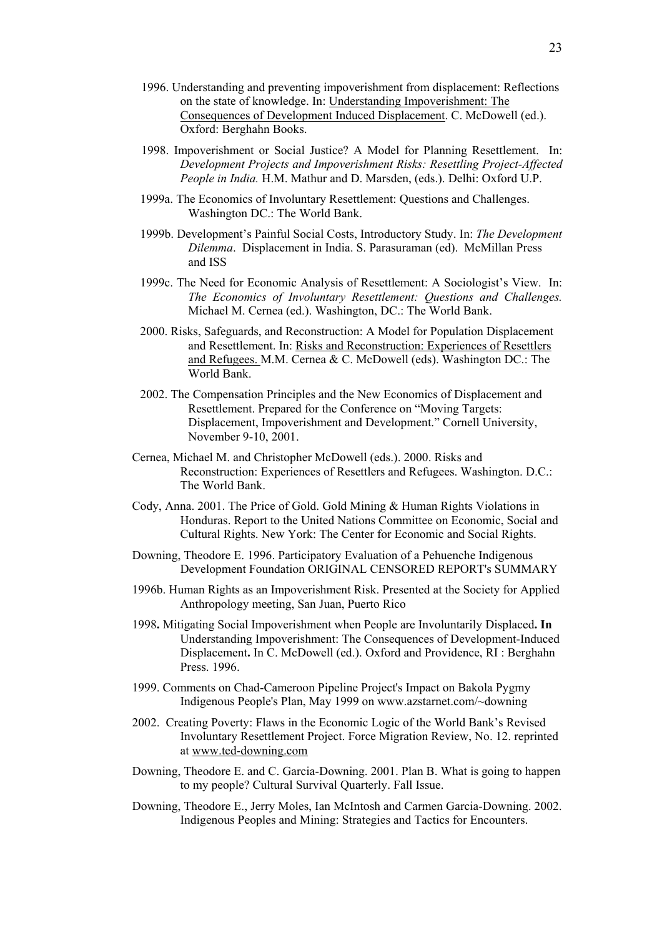- 1996. Understanding and preventing impoverishment from displacement: Reflections on the state of knowledge. In: Understanding Impoverishment: The Consequences of Development Induced Displacement. C. McDowell (ed.). Oxford: Berghahn Books.
- 1998. Impoverishment or Social Justice? A Model for Planning Resettlement. In: *Development Projects and Impoverishment Risks: Resettling Project-Affected People in India.* H.M. Mathur and D. Marsden, (eds.). Delhi: Oxford U.P.
- 1999a. The Economics of Involuntary Resettlement: Questions and Challenges. Washington DC.: The World Bank.
- 1999b. Development's Painful Social Costs, Introductory Study. In: *The Development Dilemma*. Displacement in India. S. Parasuraman (ed). McMillan Press and ISS
- 1999c. The Need for Economic Analysis of Resettlement: A Sociologist's View. In: *The Economics of Involuntary Resettlement: Questions and Challenges.* Michael M. Cernea (ed.). Washington, DC.: The World Bank.
- 2000. Risks, Safeguards, and Reconstruction: A Model for Population Displacement and Resettlement. In: Risks and Reconstruction: Experiences of Resettlers and Refugees. M.M. Cernea & C. McDowell (eds). Washington DC.: The World Bank.
- 2002. The Compensation Principles and the New Economics of Displacement and Resettlement. Prepared for the Conference on "Moving Targets: Displacement, Impoverishment and Development." Cornell University, November 9-10, 2001.
- Cernea, Michael M. and Christopher McDowell (eds.). 2000. Risks and Reconstruction: Experiences of Resettlers and Refugees. Washington. D.C.: The World Bank.
- Cody, Anna. 2001. The Price of Gold. Gold Mining & Human Rights Violations in Honduras. Report to the United Nations Committee on Economic, Social and Cultural Rights. New York: The Center for Economic and Social Rights.
- Downing, Theodore E. 1996. Participatory Evaluation of a Pehuenche Indigenous Development Foundation ORIGINAL CENSORED REPORT's SUMMARY
- 1996b. Human Rights as an Impoverishment Risk. Presented at the Society for Applied Anthropology meeting, San Juan, Puerto Rico
- 1998**.** Mitigating Social Impoverishment when People are Involuntarily Displaced**. In**  Understanding Impoverishment: The Consequences of Development-Induced Displacement**.** In C. McDowell (ed.). Oxford and Providence, RI : Berghahn Press. 1996.
- 1999. Comments on Chad-Cameroon Pipeline Project's Impact on Bakola Pygmy Indigenous People's Plan, May 1999 on www.azstarnet.com/~downing
- 2002. Creating Poverty: Flaws in the Economic Logic of the World Bank's Revised Involuntary Resettlement Project. Force Migration Review, No. 12. reprinted at [www.ted-downing.com](http://www.ted-downing.com/)
- Downing, Theodore E. and C. Garcia-Downing. 2001. Plan B. What is going to happen to my people? Cultural Survival Quarterly. Fall Issue.
- Downing, Theodore E., Jerry Moles, Ian McIntosh and Carmen Garcia-Downing. 2002. Indigenous Peoples and Mining: Strategies and Tactics for Encounters.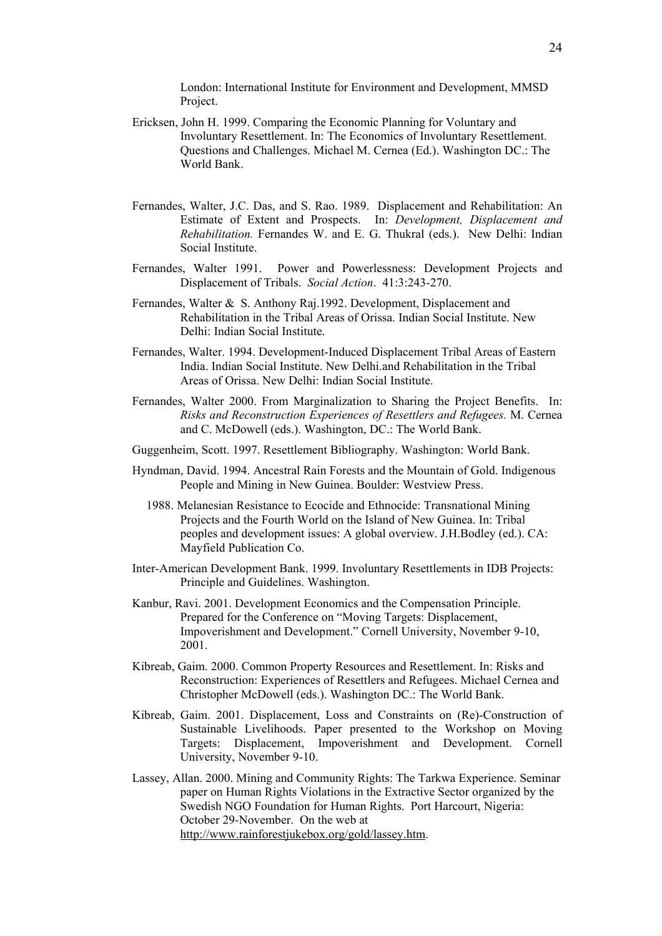London: International Institute for Environment and Development, MMSD Project.

- Ericksen, John H. 1999. Comparing the Economic Planning for Voluntary and Involuntary Resettlement. In: The Economics of Involuntary Resettlement. Questions and Challenges. Michael M. Cernea (Ed.). Washington DC.: The World Bank.
- Fernandes, Walter, J.C. Das, and S. Rao. 1989. Displacement and Rehabilitation: An Estimate of Extent and Prospects. In: *Development, Displacement and Rehabilitation.* Fernandes W. and E. G. Thukral (eds.). New Delhi: Indian Social Institute.
- Fernandes, Walter 1991. Power and Powerlessness: Development Projects and Displacement of Tribals. *Social Action*. 41:3:243-270.
- Fernandes, Walter & S. Anthony Raj.1992. Development, Displacement and Rehabilitation in the Tribal Areas of Orissa. Indian Social Institute. New Delhi: Indian Social Institute.
- Fernandes, Walter. 1994. Development-Induced Displacement Tribal Areas of Eastern India. Indian Social Institute. New Delhi.and Rehabilitation in the Tribal Areas of Orissa. New Delhi: Indian Social Institute.
- Fernandes, Walter 2000. From Marginalization to Sharing the Project Benefits. In: *Risks and Reconstruction Experiences of Resettlers and Refugees.* M. Cernea and C. McDowell (eds.). Washington, DC.: The World Bank.
- Guggenheim, Scott. 1997. Resettlement Bibliography. Washington: World Bank.
- Hyndman, David. 1994. Ancestral Rain Forests and the Mountain of Gold. Indigenous People and Mining in New Guinea. Boulder: Westview Press.
	- 1988. Melanesian Resistance to Ecocide and Ethnocide: Transnational Mining Projects and the Fourth World on the Island of New Guinea. In: Tribal peoples and development issues: A global overview. J.H.Bodley (ed.). CA: Mayfield Publication Co.
- Inter-American Development Bank. 1999. Involuntary Resettlements in IDB Projects: Principle and Guidelines. Washington.
- Kanbur, Ravi. 2001. Development Economics and the Compensation Principle. Prepared for the Conference on "Moving Targets: Displacement, Impoverishment and Development." Cornell University, November 9-10, 2001.
- Kibreab, Gaim. 2000. Common Property Resources and Resettlement. In: Risks and Reconstruction: Experiences of Resettlers and Refugees. Michael Cernea and Christopher McDowell (eds.). Washington DC.: The World Bank.
- Kibreab, Gaim. 2001. Displacement, Loss and Constraints on (Re)-Construction of Sustainable Livelihoods. Paper presented to the Workshop on Moving Targets: Displacement, Impoverishment and Development. Cornell University, November 9-10.
- Lassey, Allan. 2000. Mining and Community Rights: The Tarkwa Experience. Seminar paper on Human Rights Violations in the Extractive Sector organized by the Swedish NGO Foundation for Human Rights. Port Harcourt, Nigeria: October 29-November. On the web at <http://www.rainforestjukebox.org/gold/lassey.htm>.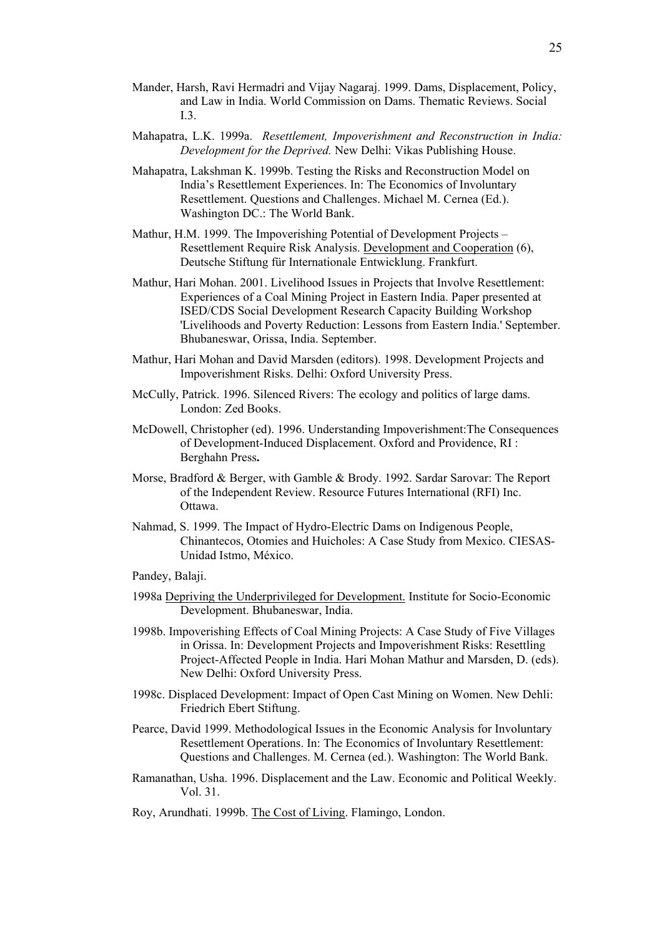- Mander, Harsh, Ravi Hermadri and Vijay Nagaraj. 1999. Dams, Displacement, Policy, and Law in India. World Commission on Dams. Thematic Reviews. Social I.3.
- Mahapatra, L.K. 1999a. *Resettlement, Impoverishment and Reconstruction in India: Development for the Deprived.* New Delhi: Vikas Publishing House.
- Mahapatra, Lakshman K. 1999b. Testing the Risks and Reconstruction Model on India's Resettlement Experiences. In: The Economics of Involuntary Resettlement. Questions and Challenges. Michael M. Cernea (Ed.). Washington DC.: The World Bank.
- Mathur, H.M. 1999. The Impoverishing Potential of Development Projects Resettlement Require Risk Analysis. Development and Cooperation (6), Deutsche Stiftung für Internationale Entwicklung. Frankfurt.
- Mathur, Hari Mohan. 2001. Livelihood Issues in Projects that Involve Resettlement: Experiences of a Coal Mining Project in Eastern India. Paper presented at ISED/CDS Social Development Research Capacity Building Workshop 'Livelihoods and Poverty Reduction: Lessons from Eastern India.' September. Bhubaneswar, Orissa, India. September.
- Mathur, Hari Mohan and David Marsden (editors). 1998. Development Projects and Impoverishment Risks. Delhi: Oxford University Press.
- McCully, Patrick. 1996. Silenced Rivers: The ecology and politics of large dams. London: Zed Books.
- McDowell, Christopher (ed). 1996. Understanding Impoverishment:The Consequences of Development-Induced Displacement. Oxford and Providence, RI : Berghahn Press**.**
- Morse, Bradford & Berger, with Gamble & Brody. 1992. Sardar Sarovar: The Report of the Independent Review. Resource Futures International (RFI) Inc. Ottawa.
- Nahmad, S. 1999. The Impact of Hydro-Electric Dams on Indigenous People, Chinantecos, Otomies and Huicholes: A Case Study from Mexico. CIESAS-Unidad Istmo, México.
- Pandey, Balaji.
- 1998a Depriving the Underprivileged for Development. Institute for Socio-Economic Development. Bhubaneswar, India.
- 1998b. Impoverishing Effects of Coal Mining Projects: A Case Study of Five Villages in Orissa. In: Development Projects and Impoverishment Risks: Resettling Project-Affected People in India. Hari Mohan Mathur and Marsden, D. (eds). New Delhi: Oxford University Press.
- 1998c. Displaced Development: Impact of Open Cast Mining on Women. New Dehli: Friedrich Ebert Stiftung.
- Pearce, David 1999. Methodological Issues in the Economic Analysis for Involuntary Resettlement Operations. In: The Economics of Involuntary Resettlement: Questions and Challenges. M. Cernea (ed.). Washington: The World Bank.
- Ramanathan, Usha. 1996. Displacement and the Law. Economic and Political Weekly. Vol. 31.
- Roy, Arundhati. 1999b. The Cost of Living. Flamingo, London.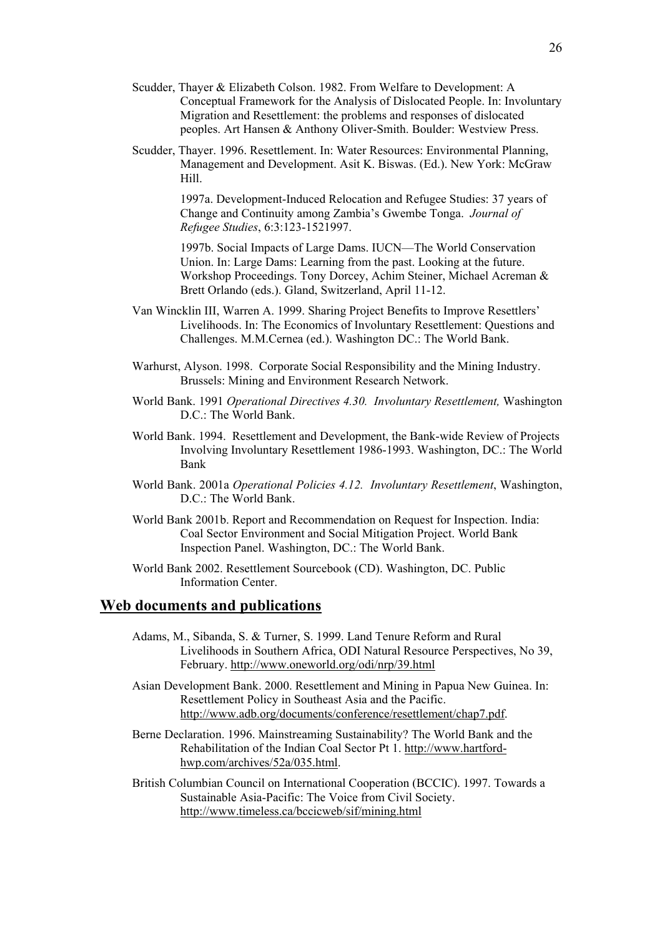- Scudder, Thayer & Elizabeth Colson. 1982. From Welfare to Development: A Conceptual Framework for the Analysis of Dislocated People. In: Involuntary Migration and Resettlement: the problems and responses of dislocated peoples. Art Hansen & Anthony Oliver-Smith. Boulder: Westview Press.
- Scudder, Thayer. 1996. Resettlement. In: Water Resources: Environmental Planning, Management and Development. Asit K. Biswas. (Ed.). New York: McGraw Hill.

1997a. Development-Induced Relocation and Refugee Studies: 37 years of Change and Continuity among Zambia's Gwembe Tonga. *Journal of Refugee Studies*, 6:3:123-1521997.

1997b. Social Impacts of Large Dams. IUCN—The World Conservation Union. In: Large Dams: Learning from the past. Looking at the future. Workshop Proceedings. Tony Dorcey, Achim Steiner, Michael Acreman & Brett Orlando (eds.). Gland, Switzerland, April 11-12.

- Van Wincklin III, Warren A. 1999. Sharing Project Benefits to Improve Resettlers' Livelihoods. In: The Economics of Involuntary Resettlement: Questions and Challenges. M.M.Cernea (ed.). Washington DC.: The World Bank.
- Warhurst, Alyson. 1998. Corporate Social Responsibility and the Mining Industry. Brussels: Mining and Environment Research Network.
- World Bank. 1991 *Operational Directives 4.30. Involuntary Resettlement,* Washington D.C.: The World Bank.
- World Bank. 1994. Resettlement and Development, the Bank-wide Review of Projects Involving Involuntary Resettlement 1986-1993. Washington, DC.: The World Bank
- World Bank. 2001a *Operational Policies 4.12. Involuntary Resettlement*, Washington, D.C.: The World Bank.
- World Bank 2001b. Report and Recommendation on Request for Inspection. India: Coal Sector Environment and Social Mitigation Project. World Bank Inspection Panel. Washington, DC.: The World Bank.
- World Bank 2002. Resettlement Sourcebook (CD). Washington, DC. Public Information Center.

#### **Web documents and publications**

- Adams, M., Sibanda, S. & Turner, S. 1999. Land Tenure Reform and Rural Livelihoods in Southern Africa, ODI Natural Resource Perspectives, No 39, February.<http://www.oneworld.org/odi/nrp/39.html>
- Asian Development Bank. 2000. Resettlement and Mining in Papua New Guinea. In: Resettlement Policy in Southeast Asia and the Pacific. [http://www.adb.org/documents/conference/resettlement/chap7.pdf.](http://www.adb.org/documents/conference/resettlement/chap7.pdf)
- Berne Declaration. 1996. Mainstreaming Sustainability? The World Bank and the Rehabilitation of the Indian Coal Sector Pt 1. [http://www.hartford](http://www.hartford-hwp.com/archives/52a/035.html)[hwp.com/archives/52a/035.html.](http://www.hartford-hwp.com/archives/52a/035.html)

British Columbian Council on International Cooperation (BCCIC). 1997. Towards a Sustainable Asia-Pacific: The Voice from Civil Society. <http://www.timeless.ca/bccicweb/sif/mining.html>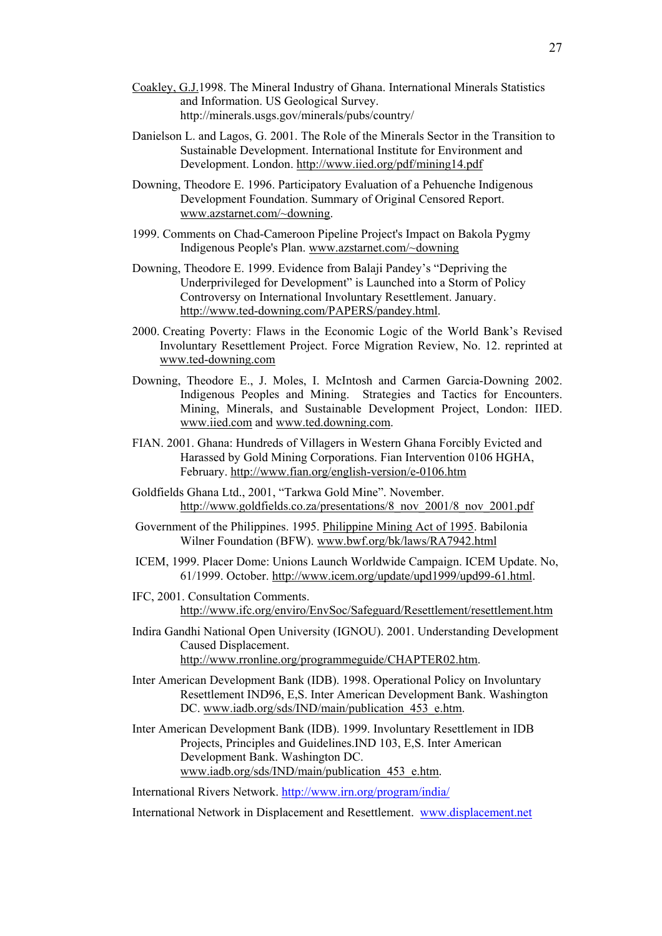- [Coakley, G.J.1](http://minerals.usgs.gov/minerals/pubs/country/9213098.pdf)998. The Mineral Industry of Ghana. International Minerals Statistics and Information. US Geological Survey. http://minerals.usgs.gov/minerals/pubs/country/
- Danielson L. and Lagos, G. 2001. The Role of the Minerals Sector in the Transition to Sustainable Development. International Institute for Environment and Development. London. <http://www.iied.org/pdf/mining14.pdf>
- Downing, Theodore E. 1996. Participatory Evaluation of a Pehuenche Indigenous Development Foundation. Summary of Original Censored Report. [www.azstarnet.com/~downing.](http://www.azstarnet.com/~downing)
- 1999. Comments on Chad-Cameroon Pipeline Project's Impact on Bakola Pygmy Indigenous People's Plan. [www.azstarnet.com/~downing](http://www.azstarnet.com/~downing)
- Downing, Theodore E. 1999. Evidence from Balaji Pandey's "Depriving the Underprivileged for Development" is Launched into a Storm of Policy Controversy on International Involuntary Resettlement. January. <http://www.ted-downing.com/PAPERS/pandey.html>.
- 2000. Creating Poverty: Flaws in the Economic Logic of the World Bank's Revised Involuntary Resettlement Project. Force Migration Review, No. 12. reprinted at [www.ted-downing.com](http://www.ted-downing.com/)
- Downing, Theodore E., J. Moles, I. McIntosh and Carmen Garcia-Downing 2002. Indigenous Peoples and Mining. Strategies and Tactics for Encounters. Mining, Minerals, and Sustainable Development Project, London: IIED. [www.iied.com](http://www.iied.com/) and www.ted.downing.com.
- FIAN. 2001. Ghana: Hundreds of Villagers in Western Ghana Forcibly Evicted and Harassed by Gold Mining Corporations. Fian Intervention 0106 HGHA, February.<http://www.fian.org/english-version/e-0106.htm>
- Goldfields Ghana Ltd., 2001, "Tarkwa Gold Mine". November. [http://www.goldfields.co.za/presentations/8\\_nov\\_2001/8\\_nov\\_2001.pdf](http://www.goldfields.co.za/presentations/8_nov_2001/8_nov_2001.pdf)
- Government of the Philippines. 1995. [Philippine Mining Act of 1995.](http://www.bknet.org/laws/RA7942.html) Babilonia Wilner Foundation (BFW). [www.bwf.org/bk/laws/RA7942.html](http://www.bwf.org/bk/laws/RA7942.html)
- ICEM, 1999. Placer Dome: Unions Launch Worldwide Campaign. ICEM Update. No, 61/1999. October. <http://www.icem.org/update/upd1999/upd99-61.html>.
- IFC, 2001. Consultation Comments. <http://www.ifc.org/enviro/EnvSoc/Safeguard/Resettlement/resettlement.htm>
- Indira Gandhi National Open University (IGNOU). 2001. Understanding Development Caused Displacement. <http://www.rronline.org/programmeguide/CHAPTER02.htm>.
- Inter American Development Bank (IDB). 1998. Operational Policy on Involuntary Resettlement IND96, E,S. Inter American Development Bank. Washington DC. www.iadb.org/sds/IND/main/publication 453 e.htm.
- Inter American Development Bank (IDB). 1999. Involuntary Resettlement in IDB Projects, Principles and Guidelines.IND 103, E,S. Inter American Development Bank. Washington DC. [www.iadb.org/sds/IND/main/publication\\_453\\_e.htm.](http://www.iadb.org/sds/IND/main/publication_453_e.htm)
- International Rivers Network.<http://www.irn.org/program/india/>
- International Network in Displacement and Resettlement. [www.displacement.net](http://www.displacement.net/)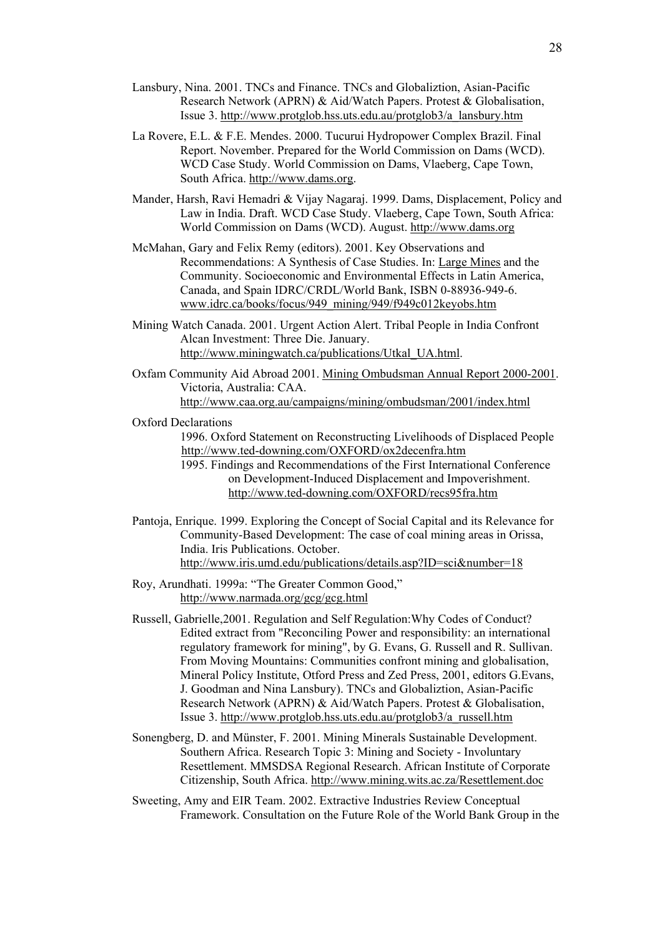- Lansbury, Nina. 2001. TNCs and Finance. TNCs and Globaliztion, Asian-Pacific Research Network (APRN) & Aid/Watch Papers. Protest & Globalisation, Issue 3. [http://www.protglob.hss.uts.edu.au/protglob3/a\\_lansbury.htm](http://www.protglob.hss.uts.edu.au/protglob3/a_lansbury.htm)
- La Rovere, E.L. & F.E. Mendes. 2000. Tucurui Hydropower Complex Brazil. Final Report. November. Prepared for the World Commission on Dams (WCD). WCD Case Study. World Commission on Dams, Vlaeberg, Cape Town, South Africa. [http://www.dams.org](http://www.dams.org/).
- Mander, Harsh, Ravi Hemadri & Vijay Nagaraj. 1999. Dams, Displacement, Policy and Law in India. Draft. WCD Case Study. Vlaeberg, Cape Town, South Africa: World Commission on Dams (WCD). August. [http://www.dams.org](http://www.dams.org/)
- McMahan, Gary and Felix Remy (editors). 2001. Key Observations and Recommendations: A Synthesis of Case Studies. In: [Large Mines](http://www.oneworld.net/cgi-bin/index.cgi?root=129&url=http://www.idrc.ca/books/focus/949_mining/949/f949c012keyobs.htm) and the Community. Socioeconomic and Environmental Effects in Latin America, Canada, and Spain IDRC/CRDL/World Bank, ISBN 0-88936-949-6. [www.idrc.ca/books/focus/949\\_mining/949/f949c012keyobs.htm](http://www.idrc.ca/books/focus/949_mining/949/f949c012keyobs.htm)
- Mining Watch Canada. 2001. Urgent Action Alert. Tribal People in India Confront Alcan Investment: Three Die. January. [http://www.miningwatch.ca/publications/Utkal\\_UA.html](http://www.miningwatch.ca/publications/Utkal_UA.html).
- Oxfam Community Aid Abroad 2001. [Mining Ombudsman Annual Report 2000-2001.](http://www.caa.org.au/campaigns/mining/ombudsman/2001/index.html) Victoria, Australia: CAA. <http://www.caa.org.au/campaigns/mining/ombudsman/2001/index.html>

Oxford Declarations

1996. Oxford Statement on Reconstructing Livelihoods of Displaced People <http://www.ted-downing.com/OXFORD/ox2decenfra.htm>

1995. Findings and Recommendations of the First International Conference on Development-Induced Displacement and Impoverishment. <http://www.ted-downing.com/OXFORD/recs95fra.htm>

- Pantoja, Enrique. 1999. Exploring the Concept of Social Capital and its Relevance for Community-Based Development: The case of coal mining areas in Orissa, India. Iris Publications. October. <http://www.iris.umd.edu/publications/details.asp?ID=sci&number=18>
- Roy, Arundhati. 1999a: "The Greater Common Good," <http://www.narmada.org/gcg/gcg.html>
- Russell, Gabrielle,2001. Regulation and Self Regulation:Why Codes of Conduct? Edited extract from "Reconciling Power and responsibility: an international regulatory framework for mining", by G. Evans, G. Russell and R. Sullivan. From Moving Mountains: Communities confront mining and globalisation, Mineral Policy Institute, Otford Press and Zed Press, 2001, editors G.Evans, J. Goodman and Nina Lansbury). TNCs and Globaliztion, Asian-Pacific Research Network (APRN) & Aid/Watch Papers. Protest & Globalisation, Issue 3. [http://www.protglob.hss.uts.edu.au/protglob3/a\\_russell.htm](http://www.protglob.hss.uts.edu.au/protglob3/a_russell.htm)
- Sonengberg, D. and Münster, F. 2001. Mining Minerals Sustainable Development. Southern Africa. Research Topic 3: Mining and Society - Involuntary Resettlement. MMSDSA Regional Research. African Institute of Corporate Citizenship, South Africa. <http://www.mining.wits.ac.za/Resettlement.doc>
- Sweeting, Amy and EIR Team. 2002. Extractive Industries Review Conceptual Framework. Consultation on the Future Role of the World Bank Group in the